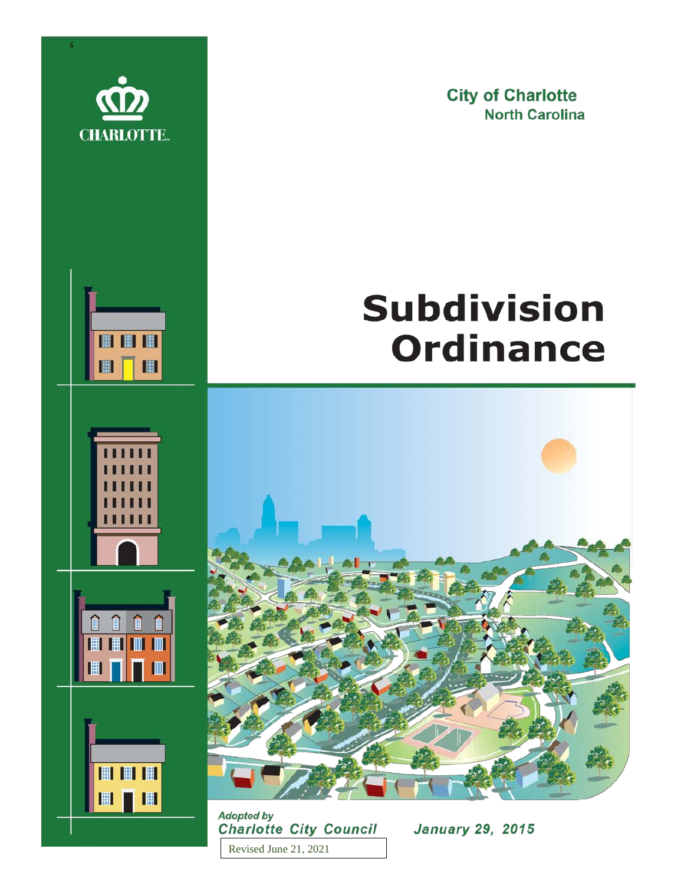

開開開

 $\blacksquare$ 

 $\blacksquare$ 

|| || || ||

 $\blacksquare$ 

間間間

■■■

**City of Charlotte North Carolina** 

# **Subdivision Ordinance**



**Adopted by Charlotte City Council** Revised June 21, 2021

**January 29, 2015**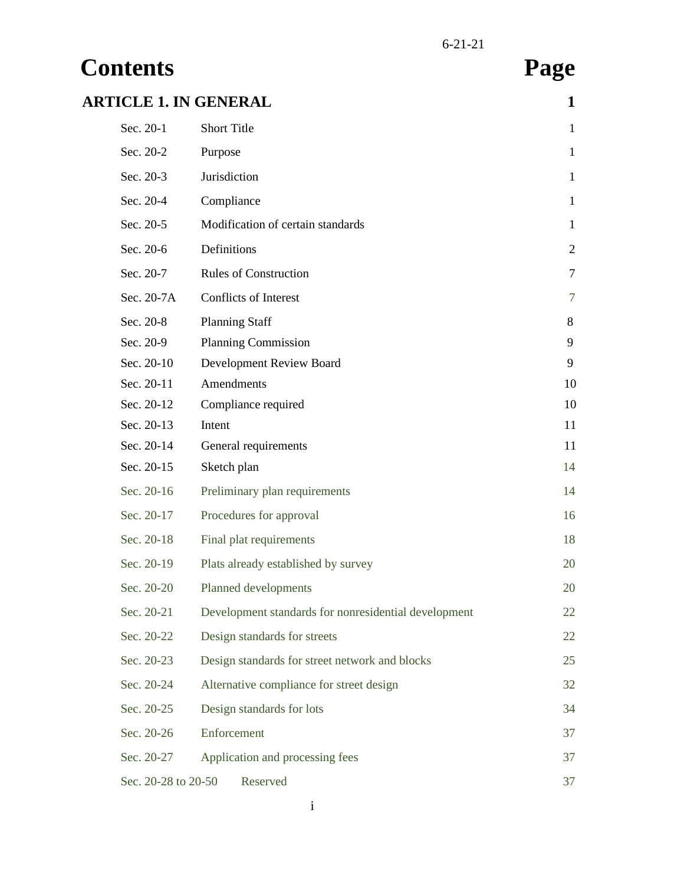## **Contents Page ARTICLE 1. IN GENERAL 1**

| ICLE I. IN GENEKAL  |                                                      | T,             |
|---------------------|------------------------------------------------------|----------------|
| Sec. 20-1           | <b>Short Title</b>                                   | $\mathbf{1}$   |
| Sec. 20-2           | Purpose                                              | 1              |
| Sec. 20-3           | Jurisdiction                                         | 1              |
| Sec. 20-4           | Compliance                                           | $\mathbf{1}$   |
| Sec. 20-5           | Modification of certain standards                    | $\mathbf{1}$   |
| Sec. 20-6           | Definitions                                          | $\overline{2}$ |
| Sec. 20-7           | <b>Rules of Construction</b>                         | 7              |
| Sec. 20-7A          | Conflicts of Interest                                | 7              |
| Sec. 20-8           | <b>Planning Staff</b>                                | 8              |
| Sec. 20-9           | <b>Planning Commission</b>                           | 9              |
| Sec. 20-10          | Development Review Board                             | 9              |
| Sec. 20-11          | Amendments                                           | 10             |
| Sec. 20-12          | Compliance required                                  | 10             |
| Sec. 20-13          | Intent                                               | 11             |
| Sec. 20-14          | General requirements                                 | 11             |
| Sec. 20-15          | Sketch plan                                          | 14             |
| Sec. 20-16          | Preliminary plan requirements                        | 14             |
| Sec. 20-17          | Procedures for approval                              | 16             |
| Sec. 20-18          | Final plat requirements                              | 18             |
| Sec. 20-19          | Plats already established by survey                  | 20             |
| Sec. 20-20          | Planned developments                                 | 20             |
| Sec. 20-21          | Development standards for nonresidential development | 22             |
| Sec. 20-22          | Design standards for streets                         | 22             |
| Sec. 20-23          | Design standards for street network and blocks       | 25             |
| Sec. 20-24          | Alternative compliance for street design             | 32             |
| Sec. 20-25          | Design standards for lots                            | 34             |
| Sec. 20-26          | Enforcement                                          | 37             |
| Sec. 20-27          | Application and processing fees                      | 37             |
| Sec. 20-28 to 20-50 | Reserved                                             | 37             |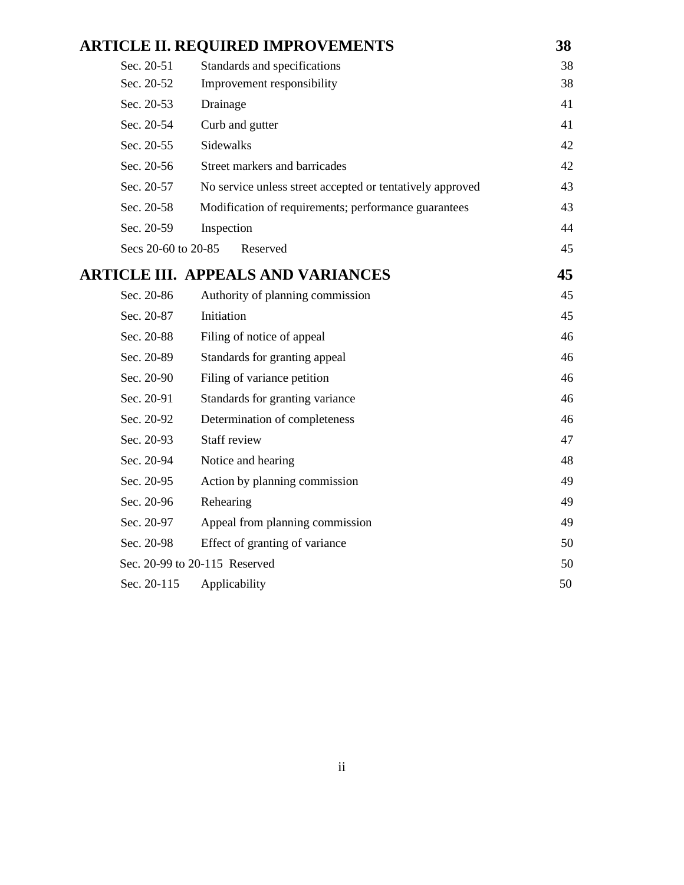|                     | <b>ARTICLE II. REQUIRED IMPROVEMENTS</b>                  | 38 |
|---------------------|-----------------------------------------------------------|----|
| Sec. 20-51          | Standards and specifications                              | 38 |
| Sec. 20-52          | Improvement responsibility                                | 38 |
| Sec. 20-53          | Drainage                                                  | 41 |
| Sec. 20-54          | Curb and gutter                                           | 41 |
| Sec. 20-55          | Sidewalks                                                 | 42 |
| Sec. 20-56          | Street markers and barricades                             | 42 |
| Sec. 20-57          | No service unless street accepted or tentatively approved | 43 |
| Sec. 20-58          | Modification of requirements; performance guarantees      | 43 |
| Sec. 20-59          | Inspection                                                | 44 |
| Secs 20-60 to 20-85 | Reserved                                                  | 45 |
|                     | <b>ARTICLE III. APPEALS AND VARIANCES</b>                 | 45 |
| Sec. 20-86          | Authority of planning commission                          | 45 |
| Sec. 20-87          | Initiation                                                | 45 |
| Sec. 20-88          | Filing of notice of appeal                                | 46 |
| Sec. 20-89          | Standards for granting appeal                             | 46 |
| Sec. 20-90          | Filing of variance petition                               | 46 |
| Sec. 20-91          | Standards for granting variance                           | 46 |
| Sec. 20-92          | Determination of completeness                             | 46 |
| Sec. 20-93          | Staff review                                              | 47 |
| Sec. 20-94          | Notice and hearing                                        | 48 |
| Sec. 20-95          | Action by planning commission                             | 49 |
| Sec. 20-96          | Rehearing                                                 | 49 |
| Sec. 20-97          | Appeal from planning commission                           | 49 |
| Sec. 20-98          | Effect of granting of variance                            | 50 |
|                     | Sec. 20-99 to 20-115 Reserved                             | 50 |
| Sec. 20-115         | Applicability                                             | 50 |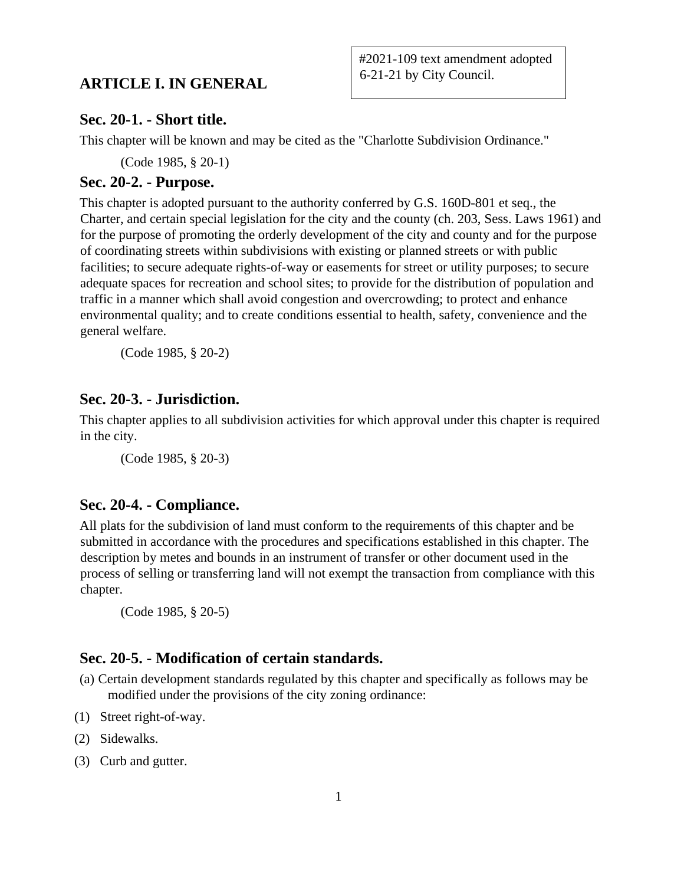## **ARTICLE I. IN GENERAL**

#### **Sec. 20-1. - Short title.**

This chapter will be known and may be cited as the "Charlotte Subdivision Ordinance."

(Code 1985, § 20-1)

## **Sec. 20-2. - Purpose.**

This chapter is adopted pursuant to the authority conferred by G.S. 160D-801 et seq., the Charter, and certain special legislation for the city and the county (ch. 203, Sess. Laws 1961) and for the purpose of promoting the orderly development of the city and county and for the purpose of coordinating streets within subdivisions with existing or planned streets or with public facilities; to secure adequate rights-of-way or easements for street or utility purposes; to secure adequate spaces for recreation and school sites; to provide for the distribution of population and traffic in a manner which shall avoid congestion and overcrowding; to protect and enhance environmental quality; and to create conditions essential to health, safety, convenience and the general welfare.

(Code 1985, § 20-2)

## **Sec. 20-3. - Jurisdiction.**

This chapter applies to all subdivision activities for which approval under this chapter is required in the city.

(Code 1985, § 20-3)

## **Sec. 20-4. - Compliance.**

All plats for the subdivision of land must conform to the requirements of this chapter and be submitted in accordance with the procedures and specifications established in this chapter. The description by metes and bounds in an instrument of transfer or other document used in the process of selling or transferring land will not exempt the transaction from compliance with this chapter.

(Code 1985, § 20-5)

## **Sec. 20-5. - Modification of certain standards.**

- (a) Certain development standards regulated by this chapter and specifically as follows may be modified under the provisions of the city zoning ordinance:
- (1) Street right-of-way.
- (2) Sidewalks.
- (3) Curb and gutter.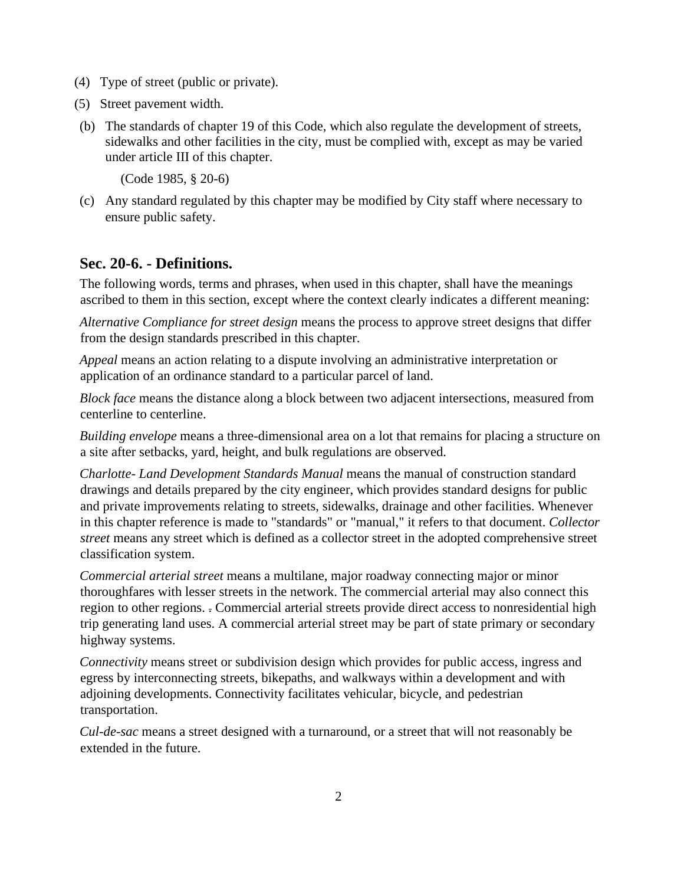- (4) Type of street (public or private).
- (5) Street pavement width.
- (b) The standards of chapter 19 of this Code, which also regulate the development of streets, sidewalks and other facilities in the city, must be complied with, except as may be varied under article III of this chapter.

(Code 1985, § 20-6)

(c) Any standard regulated by this chapter may be modified by City staff where necessary to ensure public safety.

## **Sec. 20-6. - Definitions.**

The following words, terms and phrases, when used in this chapter, shall have the meanings ascribed to them in this section, except where the context clearly indicates a different meaning:

*Alternative Compliance for street design* means the process to approve street designs that differ from the design standards prescribed in this chapter.

*Appeal* means an action relating to a dispute involving an administrative interpretation or application of an ordinance standard to a particular parcel of land.

*Block face* means the distance along a block between two adjacent intersections, measured from centerline to centerline.

*Building envelope* means a three-dimensional area on a lot that remains for placing a structure on a site after setbacks, yard, height, and bulk regulations are observed.

*Charlotte- Land Development Standards Manual* means the manual of construction standard drawings and details prepared by the city engineer, which provides standard designs for public and private improvements relating to streets, sidewalks, drainage and other facilities. Whenever in this chapter reference is made to "standards" or "manual," it refers to that document. *Collector street* means any street which is defined as a collector street in the adopted comprehensive street classification system.

*Commercial arterial street* means a multilane, major roadway connecting major or minor thoroughfares with lesser streets in the network. The commercial arterial may also connect this region to other regions. . Commercial arterial streets provide direct access to nonresidential high trip generating land uses. A commercial arterial street may be part of state primary or secondary highway systems.

*Connectivity* means street or subdivision design which provides for public access, ingress and egress by interconnecting streets, bikepaths, and walkways within a development and with adjoining developments. Connectivity facilitates vehicular, bicycle, and pedestrian transportation.

*Cul-de-sac* means a street designed with a turnaround, or a street that will not reasonably be extended in the future.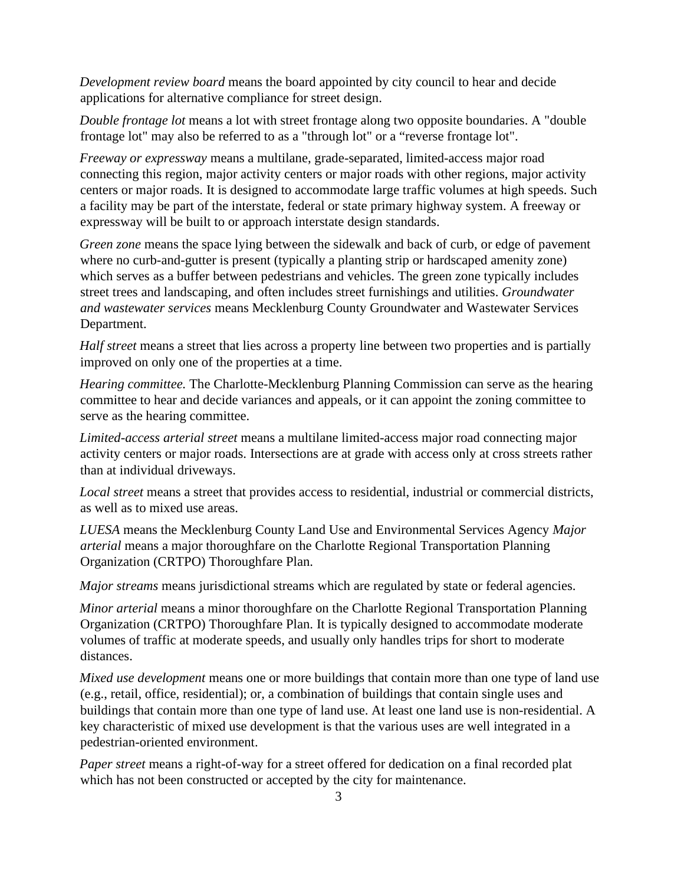*Development review board* means the board appointed by city council to hear and decide applications for alternative compliance for street design.

*Double frontage lot* means a lot with street frontage along two opposite boundaries. A "double frontage lot" may also be referred to as a "through lot" or a "reverse frontage lot".

*Freeway or expressway* means a multilane, grade-separated, limited-access major road connecting this region, major activity centers or major roads with other regions, major activity centers or major roads. It is designed to accommodate large traffic volumes at high speeds. Such a facility may be part of the interstate, federal or state primary highway system. A freeway or expressway will be built to or approach interstate design standards.

*Green zone* means the space lying between the sidewalk and back of curb, or edge of pavement where no curb-and-gutter is present (typically a planting strip or hardscaped amenity zone) which serves as a buffer between pedestrians and vehicles. The green zone typically includes street trees and landscaping, and often includes street furnishings and utilities. *Groundwater and wastewater services* means Mecklenburg County Groundwater and Wastewater Services Department.

*Half street* means a street that lies across a property line between two properties and is partially improved on only one of the properties at a time.

*Hearing committee.* The Charlotte-Mecklenburg Planning Commission can serve as the hearing committee to hear and decide variances and appeals, or it can appoint the zoning committee to serve as the hearing committee.

*Limited-access arterial street* means a multilane limited-access major road connecting major activity centers or major roads. Intersections are at grade with access only at cross streets rather than at individual driveways.

*Local street* means a street that provides access to residential, industrial or commercial districts, as well as to mixed use areas.

*LUESA* means the Mecklenburg County Land Use and Environmental Services Agency *Major arterial* means a major thoroughfare on the Charlotte Regional Transportation Planning Organization (CRTPO) Thoroughfare Plan.

*Major streams* means jurisdictional streams which are regulated by state or federal agencies.

*Minor arterial* means a minor thoroughfare on the Charlotte Regional Transportation Planning Organization (CRTPO) Thoroughfare Plan. It is typically designed to accommodate moderate volumes of traffic at moderate speeds, and usually only handles trips for short to moderate distances.

*Mixed use development* means one or more buildings that contain more than one type of land use (e.g., retail, office, residential); or, a combination of buildings that contain single uses and buildings that contain more than one type of land use. At least one land use is non-residential. A key characteristic of mixed use development is that the various uses are well integrated in a pedestrian-oriented environment.

*Paper street* means a right-of-way for a street offered for dedication on a final recorded plat which has not been constructed or accepted by the city for maintenance.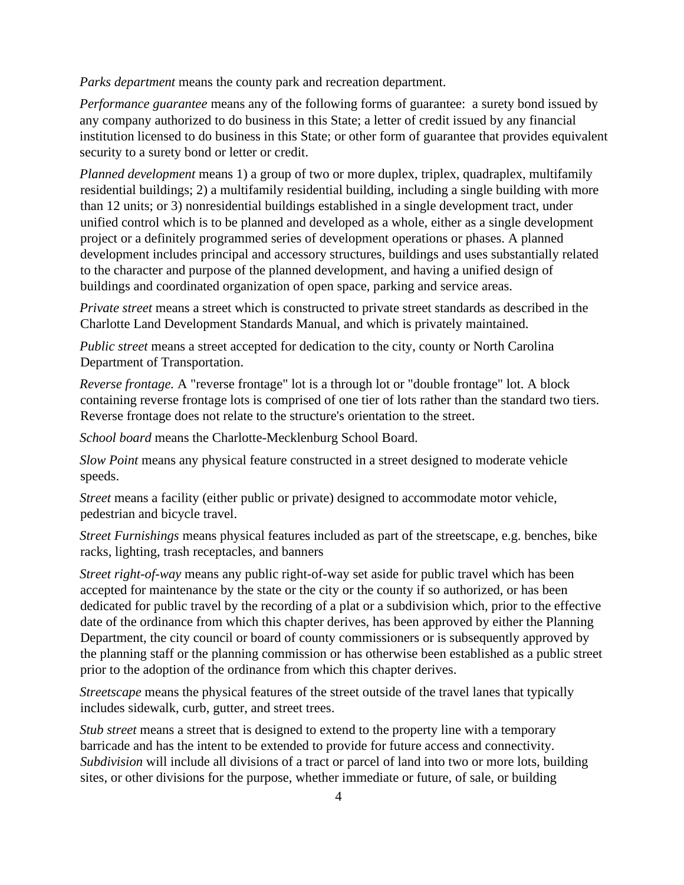*Parks department* means the county park and recreation department.

*Performance guarantee* means any of the following forms of guarantee: a surety bond issued by any company authorized to do business in this State; a letter of credit issued by any financial institution licensed to do business in this State; or other form of guarantee that provides equivalent security to a surety bond or letter or credit.

*Planned development* means 1) a group of two or more duplex, triplex, quadraplex, multifamily residential buildings; 2) a multifamily residential building, including a single building with more than 12 units; or 3) nonresidential buildings established in a single development tract, under unified control which is to be planned and developed as a whole, either as a single development project or a definitely programmed series of development operations or phases. A planned development includes principal and accessory structures, buildings and uses substantially related to the character and purpose of the planned development, and having a unified design of buildings and coordinated organization of open space, parking and service areas.

*Private street* means a street which is constructed to private street standards as described in the Charlotte Land Development Standards Manual, and which is privately maintained.

*Public street* means a street accepted for dedication to the city, county or North Carolina Department of Transportation.

*Reverse frontage.* A "reverse frontage" lot is a through lot or "double frontage" lot. A block containing reverse frontage lots is comprised of one tier of lots rather than the standard two tiers. Reverse frontage does not relate to the structure's orientation to the street.

*School board* means the Charlotte-Mecklenburg School Board.

*Slow Point* means any physical feature constructed in a street designed to moderate vehicle speeds.

*Street* means a facility (either public or private) designed to accommodate motor vehicle, pedestrian and bicycle travel.

*Street Furnishings* means physical features included as part of the streetscape, e.g. benches, bike racks, lighting, trash receptacles, and banners

*Street right-of-way* means any public right-of-way set aside for public travel which has been accepted for maintenance by the state or the city or the county if so authorized, or has been dedicated for public travel by the recording of a plat or a subdivision which, prior to the effective date of the ordinance from which this chapter derives, has been approved by either the Planning Department, the city council or board of county commissioners or is subsequently approved by the planning staff or the planning commission or has otherwise been established as a public street prior to the adoption of the ordinance from which this chapter derives.

*Streetscape* means the physical features of the street outside of the travel lanes that typically includes sidewalk, curb, gutter, and street trees.

*Stub street* means a street that is designed to extend to the property line with a temporary barricade and has the intent to be extended to provide for future access and connectivity. *Subdivision* will include all divisions of a tract or parcel of land into two or more lots, building sites, or other divisions for the purpose, whether immediate or future, of sale, or building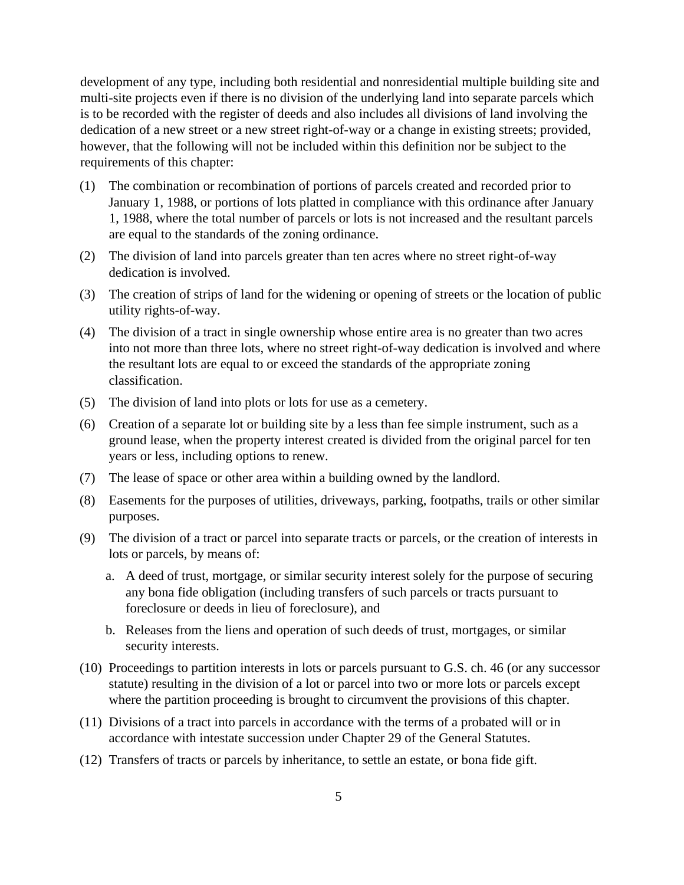development of any type, including both residential and nonresidential multiple building site and multi-site projects even if there is no division of the underlying land into separate parcels which is to be recorded with the register of deeds and also includes all divisions of land involving the dedication of a new street or a new street right-of-way or a change in existing streets; provided, however, that the following will not be included within this definition nor be subject to the requirements of this chapter:

- (1) The combination or recombination of portions of parcels created and recorded prior to January 1, 1988, or portions of lots platted in compliance with this ordinance after January 1, 1988, where the total number of parcels or lots is not increased and the resultant parcels are equal to the standards of the zoning ordinance.
- (2) The division of land into parcels greater than ten acres where no street right-of-way dedication is involved.
- (3) The creation of strips of land for the widening or opening of streets or the location of public utility rights-of-way.
- (4) The division of a tract in single ownership whose entire area is no greater than two acres into not more than three lots, where no street right-of-way dedication is involved and where the resultant lots are equal to or exceed the standards of the appropriate zoning classification.
- (5) The division of land into plots or lots for use as a cemetery.
- (6) Creation of a separate lot or building site by a less than fee simple instrument, such as a ground lease, when the property interest created is divided from the original parcel for ten years or less, including options to renew.
- (7) The lease of space or other area within a building owned by the landlord.
- (8) Easements for the purposes of utilities, driveways, parking, footpaths, trails or other similar purposes.
- (9) The division of a tract or parcel into separate tracts or parcels, or the creation of interests in lots or parcels, by means of:
	- a. A deed of trust, mortgage, or similar security interest solely for the purpose of securing any bona fide obligation (including transfers of such parcels or tracts pursuant to foreclosure or deeds in lieu of foreclosure), and
	- b. Releases from the liens and operation of such deeds of trust, mortgages, or similar security interests.
- (10) Proceedings to partition interests in lots or parcels pursuant to G.S. ch. 46 (or any successor statute) resulting in the division of a lot or parcel into two or more lots or parcels except where the partition proceeding is brought to circumvent the provisions of this chapter.
- (11) Divisions of a tract into parcels in accordance with the terms of a probated will or in accordance with intestate succession under Chapter 29 of the General Statutes.
- (12) Transfers of tracts or parcels by inheritance, to settle an estate, or bona fide gift.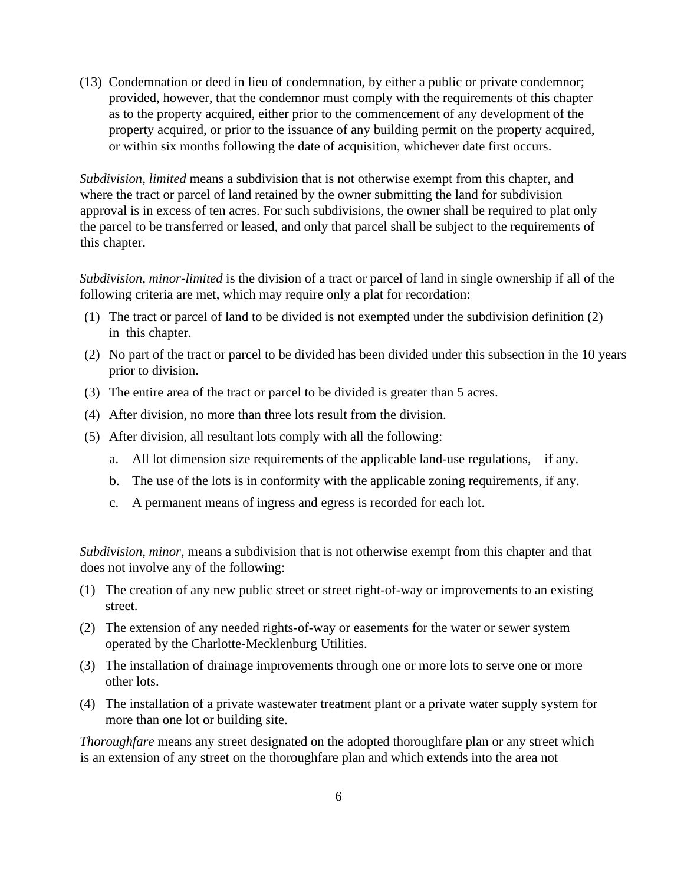(13) Condemnation or deed in lieu of condemnation, by either a public or private condemnor; provided, however, that the condemnor must comply with the requirements of this chapter as to the property acquired, either prior to the commencement of any development of the property acquired, or prior to the issuance of any building permit on the property acquired, or within six months following the date of acquisition, whichever date first occurs.

*Subdivision, limited* means a subdivision that is not otherwise exempt from this chapter, and where the tract or parcel of land retained by the owner submitting the land for subdivision approval is in excess of ten acres. For such subdivisions, the owner shall be required to plat only the parcel to be transferred or leased, and only that parcel shall be subject to the requirements of this chapter.

*Subdivision, minor-limited* is the division of a tract or parcel of land in single ownership if all of the following criteria are met, which may require only a plat for recordation:

- (1) The tract or parcel of land to be divided is not exempted under the subdivision definition (2) in this chapter.
- (2) No part of the tract or parcel to be divided has been divided under this subsection in the 10 years prior to division.
- (3) The entire area of the tract or parcel to be divided is greater than 5 acres.
- (4) After division, no more than three lots result from the division.
- (5) After division, all resultant lots comply with all the following:
	- a. All lot dimension size requirements of the applicable land-use regulations, if any.
	- b. The use of the lots is in conformity with the applicable zoning requirements, if any.
	- c. A permanent means of ingress and egress is recorded for each lot.

*Subdivision, minor*, means a subdivision that is not otherwise exempt from this chapter and that does not involve any of the following:

- (1) The creation of any new public street or street right-of-way or improvements to an existing street.
- (2) The extension of any needed rights-of-way or easements for the water or sewer system operated by the Charlotte-Mecklenburg Utilities.
- (3) The installation of drainage improvements through one or more lots to serve one or more other lots.
- (4) The installation of a private wastewater treatment plant or a private water supply system for more than one lot or building site.

*Thoroughfare* means any street designated on the adopted thoroughfare plan or any street which is an extension of any street on the thoroughfare plan and which extends into the area not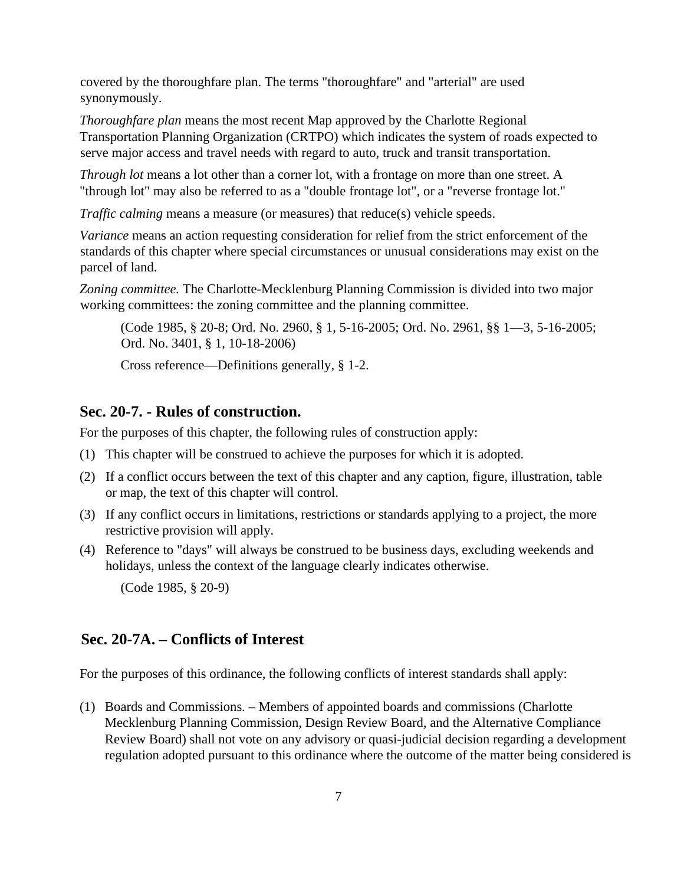covered by the thoroughfare plan. The terms "thoroughfare" and "arterial" are used synonymously.

*Thoroughfare plan* means the most recent Map approved by the Charlotte Regional Transportation Planning Organization (CRTPO) which indicates the system of roads expected to serve major access and travel needs with regard to auto, truck and transit transportation.

*Through lot* means a lot other than a corner lot, with a frontage on more than one street. A "through lot" may also be referred to as a "double frontage lot", or a "reverse frontage lot."

*Traffic calming means a measure (or measures) that reduce(s) vehicle speeds.* 

*Variance* means an action requesting consideration for relief from the strict enforcement of the standards of this chapter where special circumstances or unusual considerations may exist on the parcel of land.

*Zoning committee.* The Charlotte-Mecklenburg Planning Commission is divided into two major working committees: the zoning committee and the planning committee.

(Code 1985, § 20-8; Ord. No. 2960, § 1, 5-16-2005; Ord. No. 2961, §§ 1—3, 5-16-2005; Ord. No. 3401, § 1, 10-18-2006)

Cross reference—Definitions generally, § 1-2.

## **Sec. 20-7. - Rules of construction.**

For the purposes of this chapter, the following rules of construction apply:

- (1) This chapter will be construed to achieve the purposes for which it is adopted.
- (2) If a conflict occurs between the text of this chapter and any caption, figure, illustration, table or map, the text of this chapter will control.
- (3) If any conflict occurs in limitations, restrictions or standards applying to a project, the more restrictive provision will apply.
- (4) Reference to "days" will always be construed to be business days, excluding weekends and holidays, unless the context of the language clearly indicates otherwise.

(Code 1985, § 20-9)

## **Sec. 20-7A. – Conflicts of Interest**

For the purposes of this ordinance, the following conflicts of interest standards shall apply:

(1) Boards and Commissions. – Members of appointed boards and commissions (Charlotte Mecklenburg Planning Commission, Design Review Board, and the Alternative Compliance Review Board) shall not vote on any advisory or quasi-judicial decision regarding a development regulation adopted pursuant to this ordinance where the outcome of the matter being considered is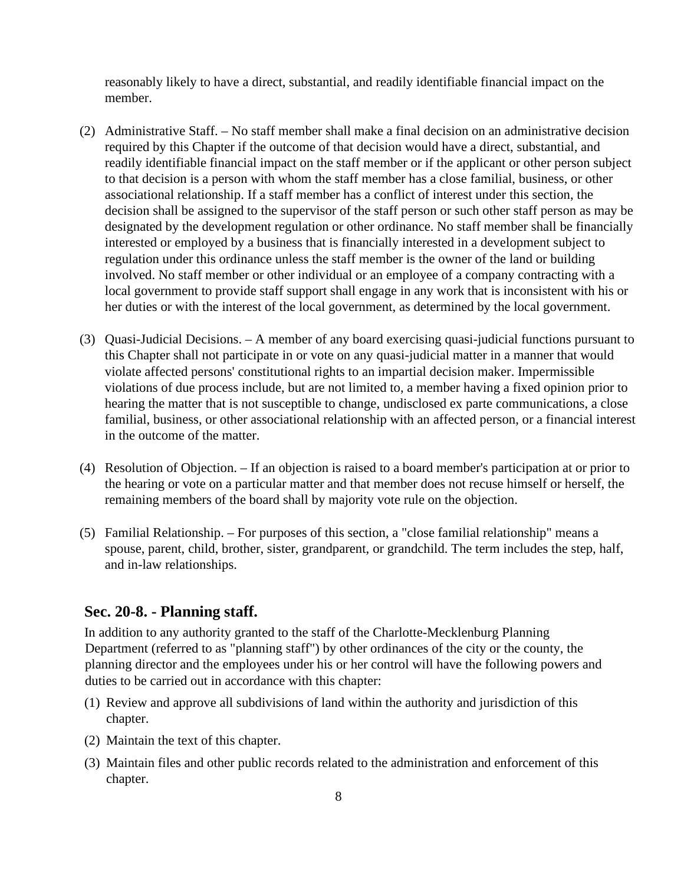reasonably likely to have a direct, substantial, and readily identifiable financial impact on the member.

- (2) Administrative Staff. No staff member shall make a final decision on an administrative decision required by this Chapter if the outcome of that decision would have a direct, substantial, and readily identifiable financial impact on the staff member or if the applicant or other person subject to that decision is a person with whom the staff member has a close familial, business, or other associational relationship. If a staff member has a conflict of interest under this section, the decision shall be assigned to the supervisor of the staff person or such other staff person as may be designated by the development regulation or other ordinance. No staff member shall be financially interested or employed by a business that is financially interested in a development subject to regulation under this ordinance unless the staff member is the owner of the land or building involved. No staff member or other individual or an employee of a company contracting with a local government to provide staff support shall engage in any work that is inconsistent with his or her duties or with the interest of the local government, as determined by the local government.
- (3) Quasi-Judicial Decisions. A member of any board exercising quasi-judicial functions pursuant to this Chapter shall not participate in or vote on any quasi-judicial matter in a manner that would violate affected persons' constitutional rights to an impartial decision maker. Impermissible violations of due process include, but are not limited to, a member having a fixed opinion prior to hearing the matter that is not susceptible to change, undisclosed ex parte communications, a close familial, business, or other associational relationship with an affected person, or a financial interest in the outcome of the matter.
- (4) Resolution of Objection. If an objection is raised to a board member's participation at or prior to the hearing or vote on a particular matter and that member does not recuse himself or herself, the remaining members of the board shall by majority vote rule on the objection.
- (5) Familial Relationship. For purposes of this section, a "close familial relationship" means a spouse, parent, child, brother, sister, grandparent, or grandchild. The term includes the step, half, and in-law relationships.

## **Sec. 20-8. - Planning staff.**

In addition to any authority granted to the staff of the Charlotte-Mecklenburg Planning Department (referred to as "planning staff") by other ordinances of the city or the county, the planning director and the employees under his or her control will have the following powers and duties to be carried out in accordance with this chapter:

- (1) Review and approve all subdivisions of land within the authority and jurisdiction of this chapter.
- (2) Maintain the text of this chapter.
- (3) Maintain files and other public records related to the administration and enforcement of this chapter.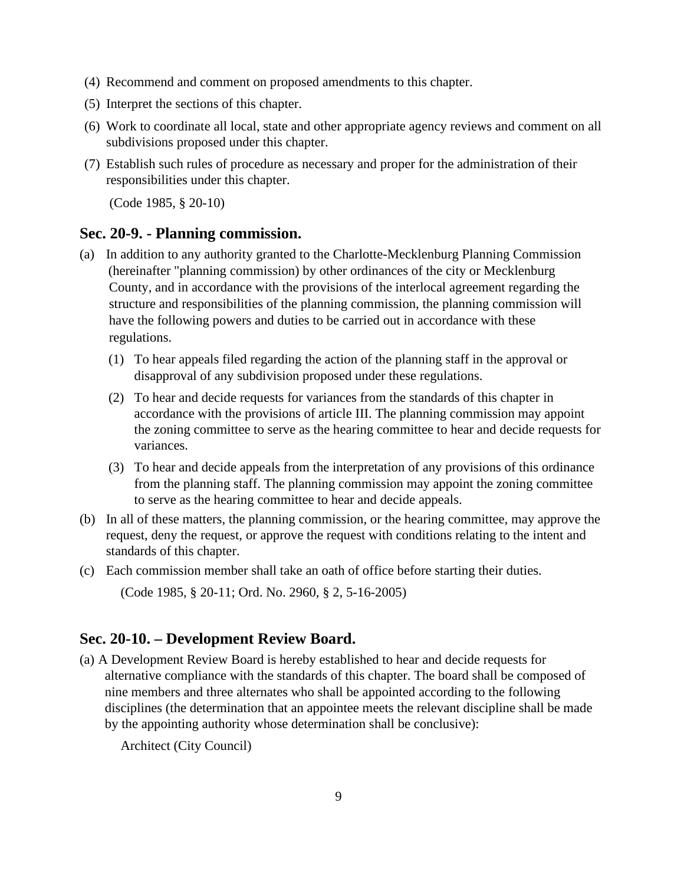- (4) Recommend and comment on proposed amendments to this chapter.
- (5) Interpret the sections of this chapter.
- (6) Work to coordinate all local, state and other appropriate agency reviews and comment on all subdivisions proposed under this chapter.
- (7) Establish such rules of procedure as necessary and proper for the administration of their responsibilities under this chapter.

(Code 1985, § 20-10)

#### **Sec. 20-9. - Planning commission.**

- (a) In addition to any authority granted to the Charlotte-Mecklenburg Planning Commission (hereinafter "planning commission) by other ordinances of the city or Mecklenburg County, and in accordance with the provisions of the interlocal agreement regarding the structure and responsibilities of the planning commission, the planning commission will have the following powers and duties to be carried out in accordance with these regulations.
	- (1) To hear appeals filed regarding the action of the planning staff in the approval or disapproval of any subdivision proposed under these regulations.
	- (2) To hear and decide requests for variances from the standards of this chapter in accordance with the provisions of article III. The planning commission may appoint the zoning committee to serve as the hearing committee to hear and decide requests for variances.
	- (3) To hear and decide appeals from the interpretation of any provisions of this ordinance from the planning staff. The planning commission may appoint the zoning committee to serve as the hearing committee to hear and decide appeals.
- (b) In all of these matters, the planning commission, or the hearing committee, may approve the request, deny the request, or approve the request with conditions relating to the intent and standards of this chapter.
- (c) Each commission member shall take an oath of office before starting their duties. (Code 1985, § 20-11; Ord. No. 2960, § 2, 5-16-2005)

## **Sec. 20-10. – Development Review Board.**

(a) A Development Review Board is hereby established to hear and decide requests for alternative compliance with the standards of this chapter. The board shall be composed of nine members and three alternates who shall be appointed according to the following disciplines (the determination that an appointee meets the relevant discipline shall be made by the appointing authority whose determination shall be conclusive):

Architect (City Council)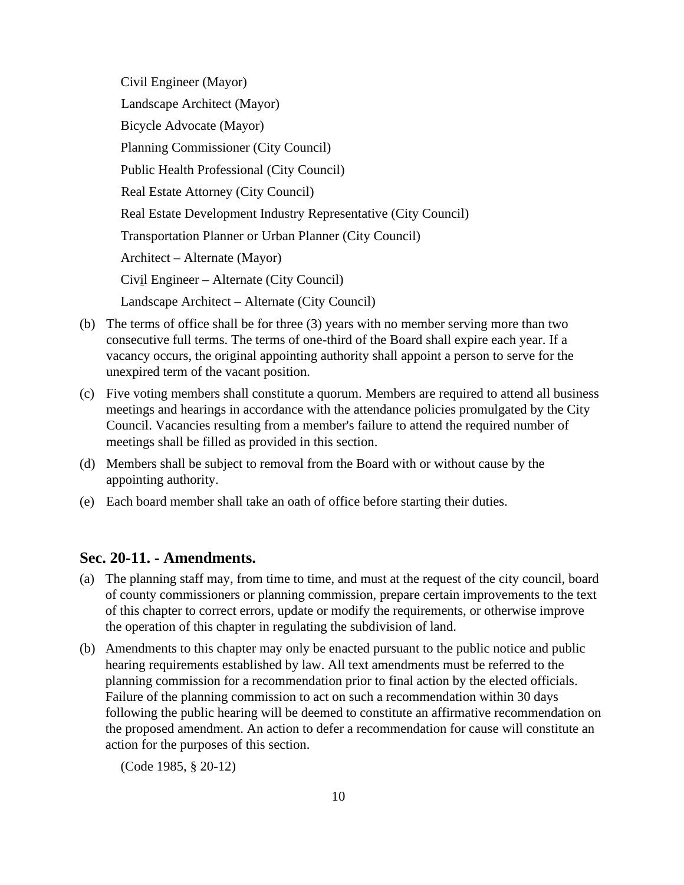Civil Engineer (Mayor) Landscape Architect (Mayor) Bicycle Advocate (Mayor) Planning Commissioner (City Council) Public Health Professional (City Council) Real Estate Attorney (City Council) Real Estate Development Industry Representative (City Council) Transportation Planner or Urban Planner (City Council) Architect – Alternate (Mayor) Civil Engineer – Alternate (City Council) Landscape Architect – Alternate (City Council)

- (b) The terms of office shall be for three (3) years with no member serving more than two consecutive full terms. The terms of one-third of the Board shall expire each year. If a vacancy occurs, the original appointing authority shall appoint a person to serve for the unexpired term of the vacant position.
- (c) Five voting members shall constitute a quorum. Members are required to attend all business meetings and hearings in accordance with the attendance policies promulgated by the City Council. Vacancies resulting from a member's failure to attend the required number of meetings shall be filled as provided in this section.
- (d) Members shall be subject to removal from the Board with or without cause by the appointing authority.
- (e) Each board member shall take an oath of office before starting their duties.

#### **Sec. 20-11. - Amendments.**

- (a) The planning staff may, from time to time, and must at the request of the city council, board of county commissioners or planning commission, prepare certain improvements to the text of this chapter to correct errors, update or modify the requirements, or otherwise improve the operation of this chapter in regulating the subdivision of land.
- (b) Amendments to this chapter may only be enacted pursuant to the public notice and public hearing requirements established by law. All text amendments must be referred to the planning commission for a recommendation prior to final action by the elected officials. Failure of the planning commission to act on such a recommendation within 30 days following the public hearing will be deemed to constitute an affirmative recommendation on the proposed amendment. An action to defer a recommendation for cause will constitute an action for the purposes of this section.

(Code 1985, § 20-12)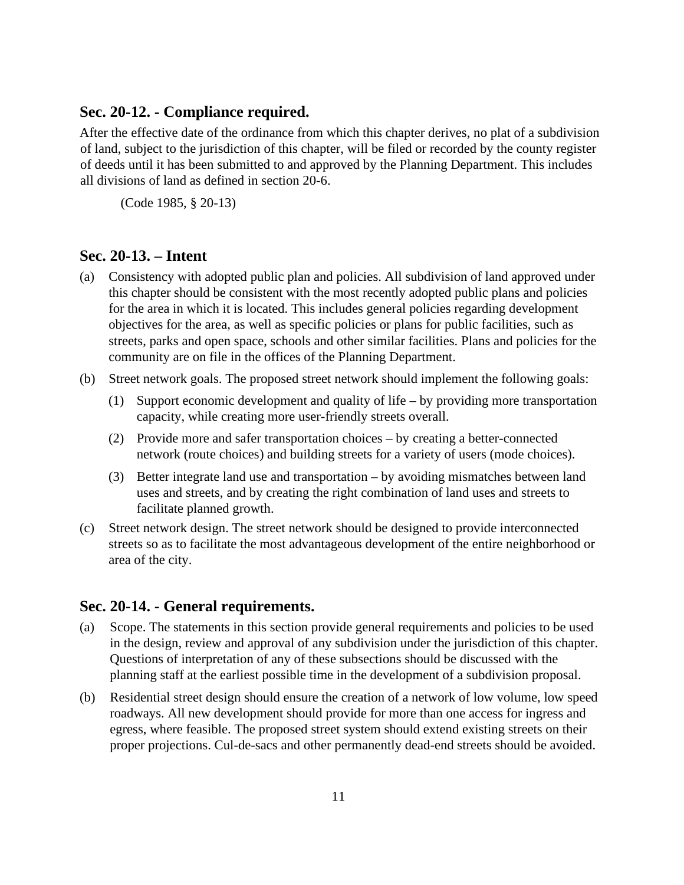#### **Sec. 20-12. - Compliance required.**

After the effective date of the ordinance from which this chapter derives, no plat of a subdivision of land, subject to the jurisdiction of this chapter, will be filed or recorded by the county register of deeds until it has been submitted to and approved by the Planning Department. This includes all divisions of land as defined in section 20-6.

(Code 1985, § 20-13)

#### **Sec. 20-13. – Intent**

- (a) Consistency with adopted public plan and policies. All subdivision of land approved under this chapter should be consistent with the most recently adopted public plans and policies for the area in which it is located. This includes general policies regarding development objectives for the area, as well as specific policies or plans for public facilities, such as streets, parks and open space, schools and other similar facilities. Plans and policies for the community are on file in the offices of the Planning Department.
- (b) Street network goals. The proposed street network should implement the following goals:
	- (1) Support economic development and quality of life by providing more transportation capacity, while creating more user-friendly streets overall.
	- (2) Provide more and safer transportation choices by creating a better-connected network (route choices) and building streets for a variety of users (mode choices).
	- (3) Better integrate land use and transportation by avoiding mismatches between land uses and streets, and by creating the right combination of land uses and streets to facilitate planned growth.
- (c) Street network design. The street network should be designed to provide interconnected streets so as to facilitate the most advantageous development of the entire neighborhood or area of the city.

#### **Sec. 20-14. - General requirements.**

- (a) Scope. The statements in this section provide general requirements and policies to be used in the design, review and approval of any subdivision under the jurisdiction of this chapter. Questions of interpretation of any of these subsections should be discussed with the planning staff at the earliest possible time in the development of a subdivision proposal.
- (b) Residential street design should ensure the creation of a network of low volume, low speed roadways. All new development should provide for more than one access for ingress and egress, where feasible. The proposed street system should extend existing streets on their proper projections. Cul-de-sacs and other permanently dead-end streets should be avoided.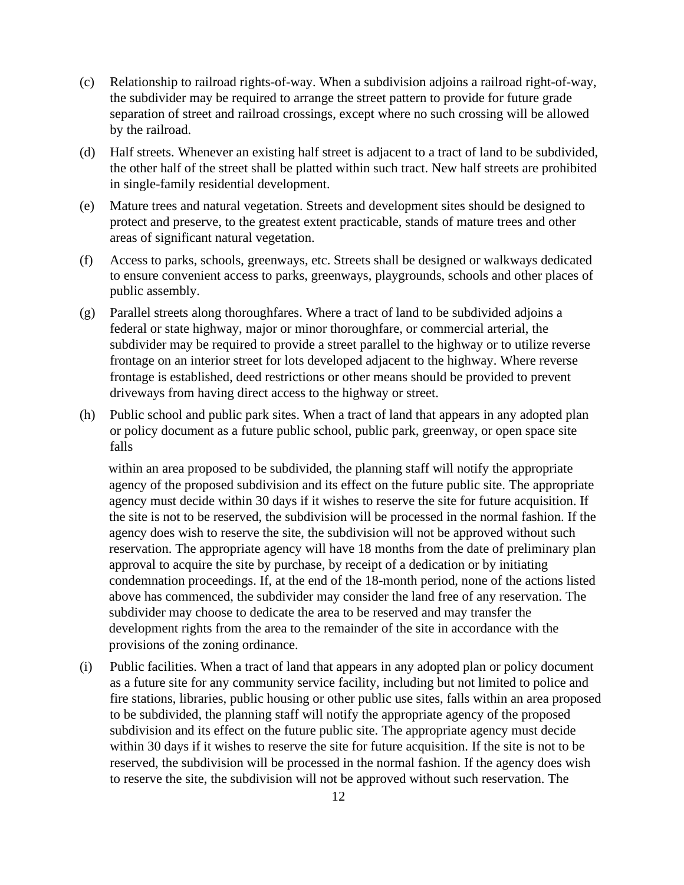- (c) Relationship to railroad rights-of-way. When a subdivision adjoins a railroad right-of-way, the subdivider may be required to arrange the street pattern to provide for future grade separation of street and railroad crossings, except where no such crossing will be allowed by the railroad.
- (d) Half streets. Whenever an existing half street is adjacent to a tract of land to be subdivided, the other half of the street shall be platted within such tract. New half streets are prohibited in single-family residential development.
- (e) Mature trees and natural vegetation. Streets and development sites should be designed to protect and preserve, to the greatest extent practicable, stands of mature trees and other areas of significant natural vegetation.
- (f) Access to parks, schools, greenways, etc. Streets shall be designed or walkways dedicated to ensure convenient access to parks, greenways, playgrounds, schools and other places of public assembly.
- (g) Parallel streets along thoroughfares. Where a tract of land to be subdivided adjoins a federal or state highway, major or minor thoroughfare, or commercial arterial, the subdivider may be required to provide a street parallel to the highway or to utilize reverse frontage on an interior street for lots developed adjacent to the highway. Where reverse frontage is established, deed restrictions or other means should be provided to prevent driveways from having direct access to the highway or street.
- (h) Public school and public park sites. When a tract of land that appears in any adopted plan or policy document as a future public school, public park, greenway, or open space site falls

within an area proposed to be subdivided, the planning staff will notify the appropriate agency of the proposed subdivision and its effect on the future public site. The appropriate agency must decide within 30 days if it wishes to reserve the site for future acquisition. If the site is not to be reserved, the subdivision will be processed in the normal fashion. If the agency does wish to reserve the site, the subdivision will not be approved without such reservation. The appropriate agency will have 18 months from the date of preliminary plan approval to acquire the site by purchase, by receipt of a dedication or by initiating condemnation proceedings. If, at the end of the 18-month period, none of the actions listed above has commenced, the subdivider may consider the land free of any reservation. The subdivider may choose to dedicate the area to be reserved and may transfer the development rights from the area to the remainder of the site in accordance with the provisions of the zoning ordinance.

(i) Public facilities. When a tract of land that appears in any adopted plan or policy document as a future site for any community service facility, including but not limited to police and fire stations, libraries, public housing or other public use sites, falls within an area proposed to be subdivided, the planning staff will notify the appropriate agency of the proposed subdivision and its effect on the future public site. The appropriate agency must decide within 30 days if it wishes to reserve the site for future acquisition. If the site is not to be reserved, the subdivision will be processed in the normal fashion. If the agency does wish to reserve the site, the subdivision will not be approved without such reservation. The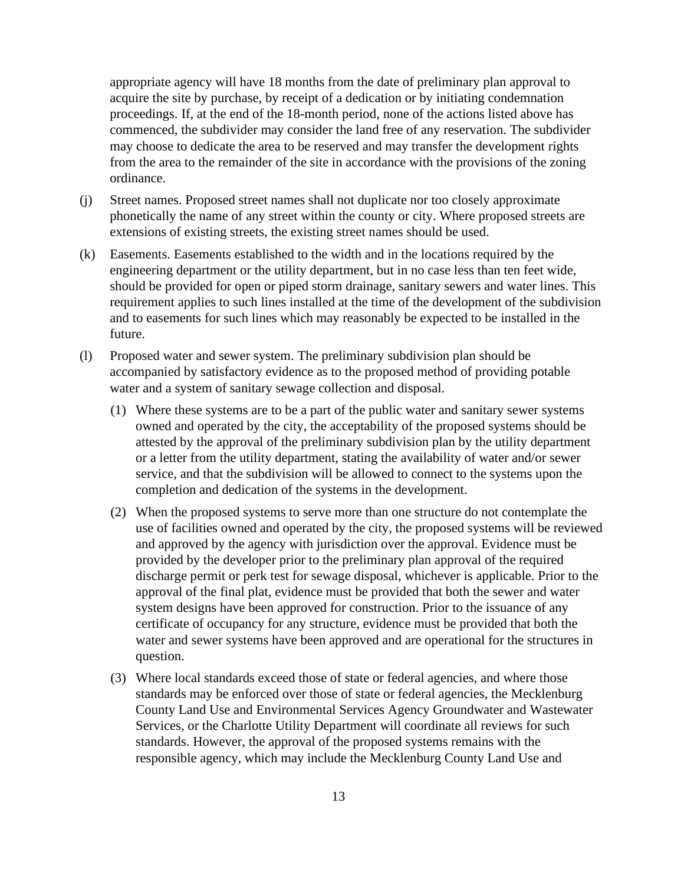appropriate agency will have 18 months from the date of preliminary plan approval to acquire the site by purchase, by receipt of a dedication or by initiating condemnation proceedings. If, at the end of the 18-month period, none of the actions listed above has commenced, the subdivider may consider the land free of any reservation. The subdivider may choose to dedicate the area to be reserved and may transfer the development rights from the area to the remainder of the site in accordance with the provisions of the zoning ordinance.

- (j) Street names. Proposed street names shall not duplicate nor too closely approximate phonetically the name of any street within the county or city. Where proposed streets are extensions of existing streets, the existing street names should be used.
- (k) Easements. Easements established to the width and in the locations required by the engineering department or the utility department, but in no case less than ten feet wide, should be provided for open or piped storm drainage, sanitary sewers and water lines. This requirement applies to such lines installed at the time of the development of the subdivision and to easements for such lines which may reasonably be expected to be installed in the future.
- (l) Proposed water and sewer system. The preliminary subdivision plan should be accompanied by satisfactory evidence as to the proposed method of providing potable water and a system of sanitary sewage collection and disposal.
	- (1) Where these systems are to be a part of the public water and sanitary sewer systems owned and operated by the city, the acceptability of the proposed systems should be attested by the approval of the preliminary subdivision plan by the utility department or a letter from the utility department, stating the availability of water and/or sewer service, and that the subdivision will be allowed to connect to the systems upon the completion and dedication of the systems in the development.
	- (2) When the proposed systems to serve more than one structure do not contemplate the use of facilities owned and operated by the city, the proposed systems will be reviewed and approved by the agency with jurisdiction over the approval. Evidence must be provided by the developer prior to the preliminary plan approval of the required discharge permit or perk test for sewage disposal, whichever is applicable. Prior to the approval of the final plat, evidence must be provided that both the sewer and water system designs have been approved for construction. Prior to the issuance of any certificate of occupancy for any structure, evidence must be provided that both the water and sewer systems have been approved and are operational for the structures in question.
	- (3) Where local standards exceed those of state or federal agencies, and where those standards may be enforced over those of state or federal agencies, the Mecklenburg County Land Use and Environmental Services Agency Groundwater and Wastewater Services, or the Charlotte Utility Department will coordinate all reviews for such standards. However, the approval of the proposed systems remains with the responsible agency, which may include the Mecklenburg County Land Use and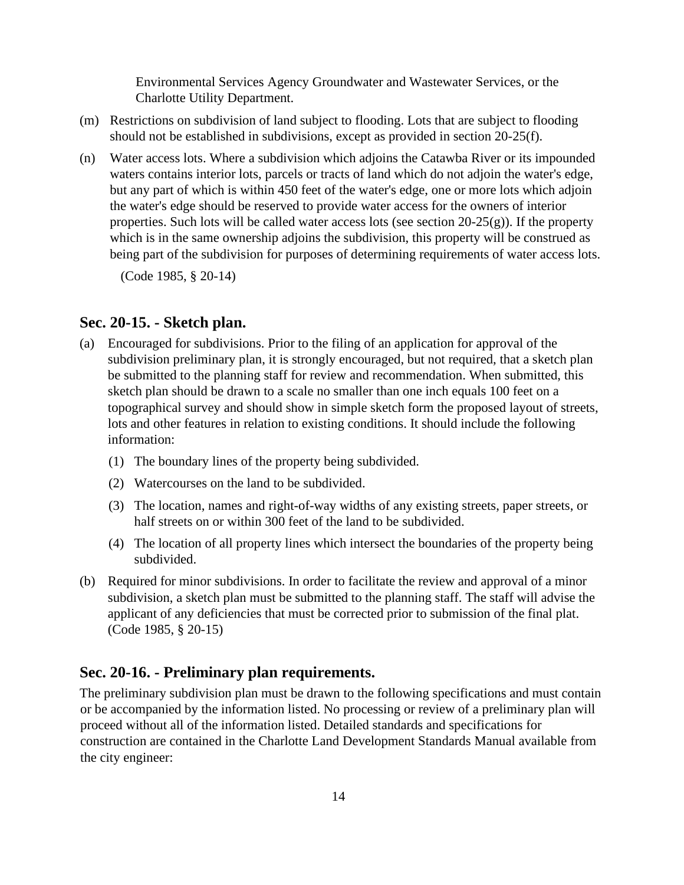Environmental Services Agency Groundwater and Wastewater Services, or the Charlotte Utility Department.

- (m) Restrictions on subdivision of land subject to flooding. Lots that are subject to flooding should not be established in subdivisions, except as provided in section 20-25(f).
- (n) Water access lots. Where a subdivision which adjoins the Catawba River or its impounded waters contains interior lots, parcels or tracts of land which do not adjoin the water's edge, but any part of which is within 450 feet of the water's edge, one or more lots which adjoin the water's edge should be reserved to provide water access for the owners of interior properties. Such lots will be called water access lots (see section  $20-25(g)$ ). If the property which is in the same ownership adjoins the subdivision, this property will be construed as being part of the subdivision for purposes of determining requirements of water access lots.

(Code 1985, § 20-14)

#### **Sec. 20-15. - Sketch plan.**

- (a) Encouraged for subdivisions. Prior to the filing of an application for approval of the subdivision preliminary plan, it is strongly encouraged, but not required, that a sketch plan be submitted to the planning staff for review and recommendation. When submitted, this sketch plan should be drawn to a scale no smaller than one inch equals 100 feet on a topographical survey and should show in simple sketch form the proposed layout of streets, lots and other features in relation to existing conditions. It should include the following information:
	- (1) The boundary lines of the property being subdivided.
	- (2) Watercourses on the land to be subdivided.
	- (3) The location, names and right-of-way widths of any existing streets, paper streets, or half streets on or within 300 feet of the land to be subdivided.
	- (4) The location of all property lines which intersect the boundaries of the property being subdivided.
- (b) Required for minor subdivisions. In order to facilitate the review and approval of a minor subdivision, a sketch plan must be submitted to the planning staff. The staff will advise the applicant of any deficiencies that must be corrected prior to submission of the final plat. (Code 1985, § 20-15)

## **Sec. 20-16. - Preliminary plan requirements.**

The preliminary subdivision plan must be drawn to the following specifications and must contain or be accompanied by the information listed. No processing or review of a preliminary plan will proceed without all of the information listed. Detailed standards and specifications for construction are contained in the Charlotte Land Development Standards Manual available from the city engineer: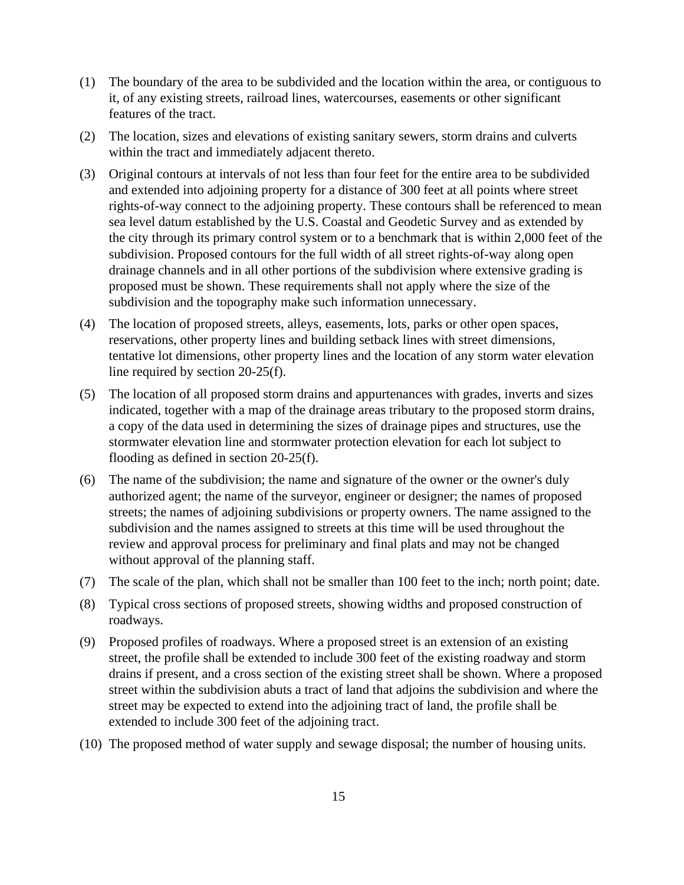- (1) The boundary of the area to be subdivided and the location within the area, or contiguous to it, of any existing streets, railroad lines, watercourses, easements or other significant features of the tract.
- (2) The location, sizes and elevations of existing sanitary sewers, storm drains and culverts within the tract and immediately adjacent thereto.
- (3) Original contours at intervals of not less than four feet for the entire area to be subdivided and extended into adjoining property for a distance of 300 feet at all points where street rights-of-way connect to the adjoining property. These contours shall be referenced to mean sea level datum established by the U.S. Coastal and Geodetic Survey and as extended by the city through its primary control system or to a benchmark that is within 2,000 feet of the subdivision. Proposed contours for the full width of all street rights-of-way along open drainage channels and in all other portions of the subdivision where extensive grading is proposed must be shown. These requirements shall not apply where the size of the subdivision and the topography make such information unnecessary.
- (4) The location of proposed streets, alleys, easements, lots, parks or other open spaces, reservations, other property lines and building setback lines with street dimensions, tentative lot dimensions, other property lines and the location of any storm water elevation line required by section 20-25(f).
- (5) The location of all proposed storm drains and appurtenances with grades, inverts and sizes indicated, together with a map of the drainage areas tributary to the proposed storm drains, a copy of the data used in determining the sizes of drainage pipes and structures, use the stormwater elevation line and stormwater protection elevation for each lot subject to flooding as defined in section 20-25(f).
- (6) The name of the subdivision; the name and signature of the owner or the owner's duly authorized agent; the name of the surveyor, engineer or designer; the names of proposed streets; the names of adjoining subdivisions or property owners. The name assigned to the subdivision and the names assigned to streets at this time will be used throughout the review and approval process for preliminary and final plats and may not be changed without approval of the planning staff.
- (7) The scale of the plan, which shall not be smaller than 100 feet to the inch; north point; date.
- (8) Typical cross sections of proposed streets, showing widths and proposed construction of roadways.
- (9) Proposed profiles of roadways. Where a proposed street is an extension of an existing street, the profile shall be extended to include 300 feet of the existing roadway and storm drains if present, and a cross section of the existing street shall be shown. Where a proposed street within the subdivision abuts a tract of land that adjoins the subdivision and where the street may be expected to extend into the adjoining tract of land, the profile shall be extended to include 300 feet of the adjoining tract.
- (10) The proposed method of water supply and sewage disposal; the number of housing units.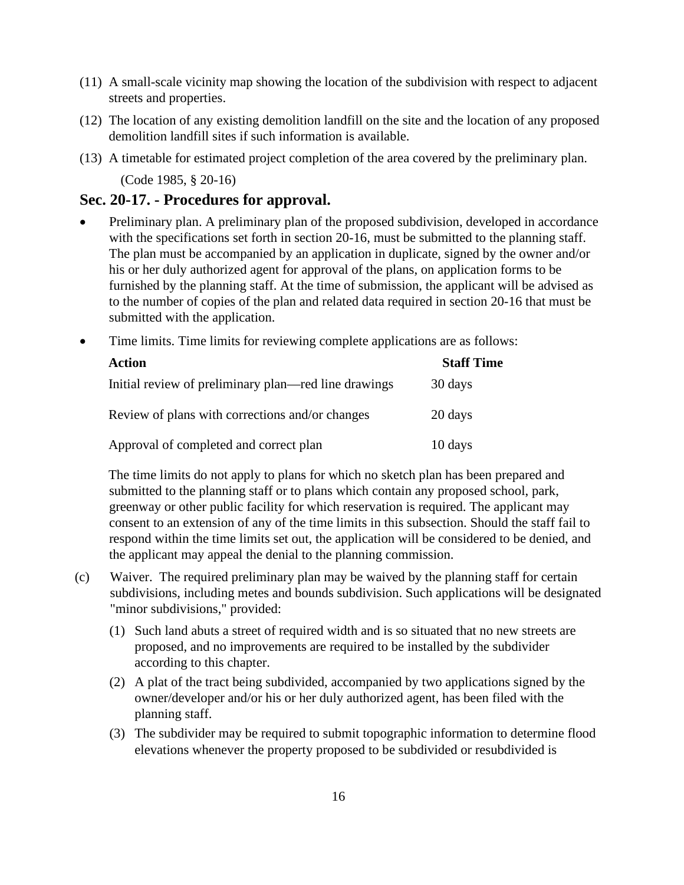- (11) A small-scale vicinity map showing the location of the subdivision with respect to adjacent streets and properties.
- (12) The location of any existing demolition landfill on the site and the location of any proposed demolition landfill sites if such information is available.
- (13) A timetable for estimated project completion of the area covered by the preliminary plan. (Code 1985, § 20-16)

## **Sec. 20-17. - Procedures for approval.**

- Preliminary plan. A preliminary plan of the proposed subdivision, developed in accordance with the specifications set forth in section 20-16, must be submitted to the planning staff. The plan must be accompanied by an application in duplicate, signed by the owner and/or his or her duly authorized agent for approval of the plans, on application forms to be furnished by the planning staff. At the time of submission, the applicant will be advised as to the number of copies of the plan and related data required in section 20-16 that must be submitted with the application.
- Time limits. Time limits for reviewing complete applications are as follows:

| <b>Action</b>                                        | <b>Staff Time</b> |
|------------------------------------------------------|-------------------|
| Initial review of preliminary plan—red line drawings | 30 days           |
| Review of plans with corrections and/or changes      | 20 days           |
| Approval of completed and correct plan               | 10 days           |

The time limits do not apply to plans for which no sketch plan has been prepared and submitted to the planning staff or to plans which contain any proposed school, park, greenway or other public facility for which reservation is required. The applicant may consent to an extension of any of the time limits in this subsection. Should the staff fail to respond within the time limits set out, the application will be considered to be denied, and the applicant may appeal the denial to the planning commission.

- (c) Waiver. The required preliminary plan may be waived by the planning staff for certain subdivisions, including metes and bounds subdivision. Such applications will be designated "minor subdivisions," provided:
	- (1) Such land abuts a street of required width and is so situated that no new streets are proposed, and no improvements are required to be installed by the subdivider according to this chapter.
	- (2) A plat of the tract being subdivided, accompanied by two applications signed by the owner/developer and/or his or her duly authorized agent, has been filed with the planning staff.
	- (3) The subdivider may be required to submit topographic information to determine flood elevations whenever the property proposed to be subdivided or resubdivided is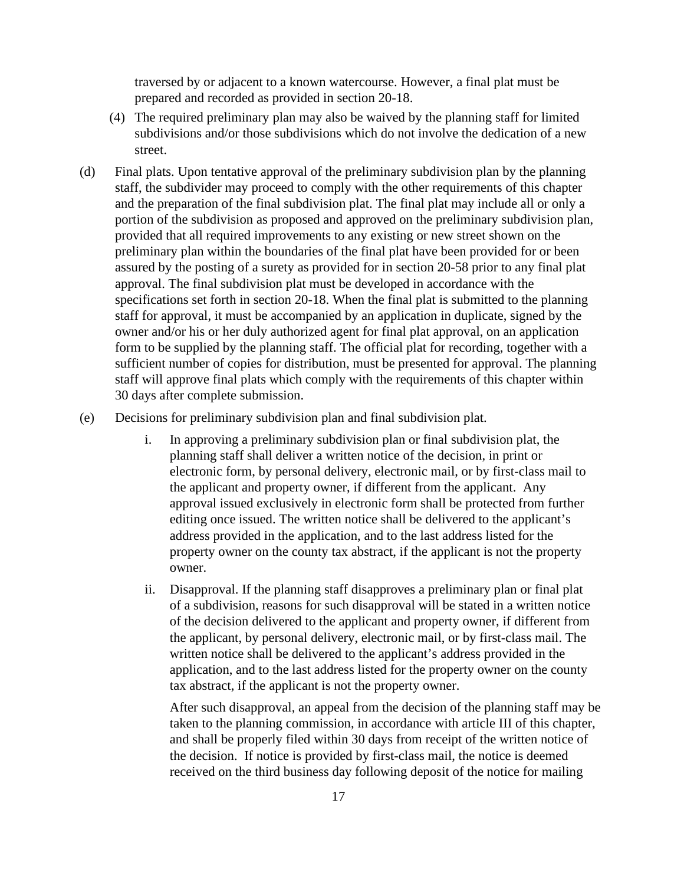traversed by or adjacent to a known watercourse. However, a final plat must be prepared and recorded as provided in section 20-18.

- (4) The required preliminary plan may also be waived by the planning staff for limited subdivisions and/or those subdivisions which do not involve the dedication of a new street.
- (d) Final plats. Upon tentative approval of the preliminary subdivision plan by the planning staff, the subdivider may proceed to comply with the other requirements of this chapter and the preparation of the final subdivision plat. The final plat may include all or only a portion of the subdivision as proposed and approved on the preliminary subdivision plan, provided that all required improvements to any existing or new street shown on the preliminary plan within the boundaries of the final plat have been provided for or been assured by the posting of a surety as provided for in section 20-58 prior to any final plat approval. The final subdivision plat must be developed in accordance with the specifications set forth in section 20-18. When the final plat is submitted to the planning staff for approval, it must be accompanied by an application in duplicate, signed by the owner and/or his or her duly authorized agent for final plat approval, on an application form to be supplied by the planning staff. The official plat for recording, together with a sufficient number of copies for distribution, must be presented for approval. The planning staff will approve final plats which comply with the requirements of this chapter within 30 days after complete submission.
- (e) Decisions for preliminary subdivision plan and final subdivision plat.
	- i. In approving a preliminary subdivision plan or final subdivision plat, the planning staff shall deliver a written notice of the decision, in print or electronic form, by personal delivery, electronic mail, or by first-class mail to the applicant and property owner, if different from the applicant. Any approval issued exclusively in electronic form shall be protected from further editing once issued. The written notice shall be delivered to the applicant's address provided in the application, and to the last address listed for the property owner on the county tax abstract, if the applicant is not the property owner.
	- ii. Disapproval. If the planning staff disapproves a preliminary plan or final plat of a subdivision, reasons for such disapproval will be stated in a written notice of the decision delivered to the applicant and property owner, if different from the applicant, by personal delivery, electronic mail, or by first-class mail. The written notice shall be delivered to the applicant's address provided in the application, and to the last address listed for the property owner on the county tax abstract, if the applicant is not the property owner.

 After such disapproval, an appeal from the decision of the planning staff may be taken to the planning commission, in accordance with article III of this chapter, and shall be properly filed within 30 days from receipt of the written notice of the decision. If notice is provided by first-class mail, the notice is deemed received on the third business day following deposit of the notice for mailing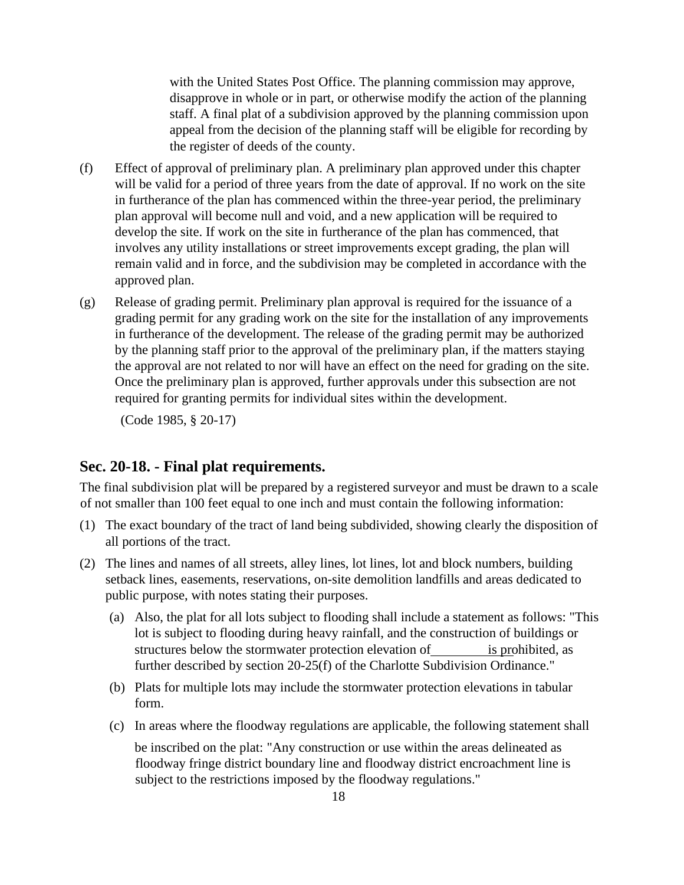with the United States Post Office. The planning commission may approve, disapprove in whole or in part, or otherwise modify the action of the planning staff. A final plat of a subdivision approved by the planning commission upon appeal from the decision of the planning staff will be eligible for recording by the register of deeds of the county.

- (f) Effect of approval of preliminary plan. A preliminary plan approved under this chapter will be valid for a period of three years from the date of approval. If no work on the site in furtherance of the plan has commenced within the three-year period, the preliminary plan approval will become null and void, and a new application will be required to develop the site. If work on the site in furtherance of the plan has commenced, that involves any utility installations or street improvements except grading, the plan will remain valid and in force, and the subdivision may be completed in accordance with the approved plan.
- (g) Release of grading permit. Preliminary plan approval is required for the issuance of a grading permit for any grading work on the site for the installation of any improvements in furtherance of the development. The release of the grading permit may be authorized by the planning staff prior to the approval of the preliminary plan, if the matters staying the approval are not related to nor will have an effect on the need for grading on the site. Once the preliminary plan is approved, further approvals under this subsection are not required for granting permits for individual sites within the development.

(Code 1985, § 20-17)

#### **Sec. 20-18. - Final plat requirements.**

The final subdivision plat will be prepared by a registered surveyor and must be drawn to a scale of not smaller than 100 feet equal to one inch and must contain the following information:

- (1) The exact boundary of the tract of land being subdivided, showing clearly the disposition of all portions of the tract.
- (2) The lines and names of all streets, alley lines, lot lines, lot and block numbers, building setback lines, easements, reservations, on-site demolition landfills and areas dedicated to public purpose, with notes stating their purposes.
	- (a) Also, the plat for all lots subject to flooding shall include a statement as follows: "This lot is subject to flooding during heavy rainfall, and the construction of buildings or structures below the stormwater protection elevation of is prohibited, as further described by section 20-25(f) of the Charlotte Subdivision Ordinance."
	- (b) Plats for multiple lots may include the stormwater protection elevations in tabular form.
	- (c) In areas where the floodway regulations are applicable, the following statement shall

be inscribed on the plat: "Any construction or use within the areas delineated as floodway fringe district boundary line and floodway district encroachment line is subject to the restrictions imposed by the floodway regulations."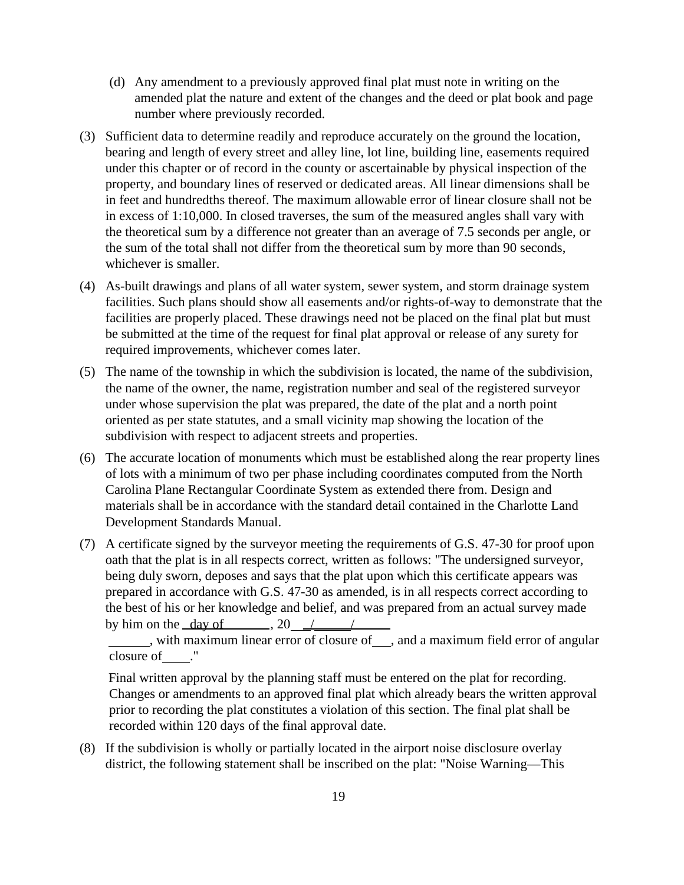- (d) Any amendment to a previously approved final plat must note in writing on the amended plat the nature and extent of the changes and the deed or plat book and page number where previously recorded.
- (3) Sufficient data to determine readily and reproduce accurately on the ground the location, bearing and length of every street and alley line, lot line, building line, easements required under this chapter or of record in the county or ascertainable by physical inspection of the property, and boundary lines of reserved or dedicated areas. All linear dimensions shall be in feet and hundredths thereof. The maximum allowable error of linear closure shall not be in excess of 1:10,000. In closed traverses, the sum of the measured angles shall vary with the theoretical sum by a difference not greater than an average of 7.5 seconds per angle, or the sum of the total shall not differ from the theoretical sum by more than 90 seconds, whichever is smaller.
- (4) As-built drawings and plans of all water system, sewer system, and storm drainage system facilities. Such plans should show all easements and/or rights-of-way to demonstrate that the facilities are properly placed. These drawings need not be placed on the final plat but must be submitted at the time of the request for final plat approval or release of any surety for required improvements, whichever comes later.
- (5) The name of the township in which the subdivision is located, the name of the subdivision, the name of the owner, the name, registration number and seal of the registered surveyor under whose supervision the plat was prepared, the date of the plat and a north point oriented as per state statutes, and a small vicinity map showing the location of the subdivision with respect to adjacent streets and properties.
- (6) The accurate location of monuments which must be established along the rear property lines of lots with a minimum of two per phase including coordinates computed from the North Carolina Plane Rectangular Coordinate System as extended there from. Design and materials shall be in accordance with the standard detail contained in the Charlotte Land Development Standards Manual.
- (7) A certificate signed by the surveyor meeting the requirements of G.S. 47-30 for proof upon oath that the plat is in all respects correct, written as follows: "The undersigned surveyor, being duly sworn, deposes and says that the plat upon which this certificate appears was prepared in accordance with G.S. 47-30 as amended, is in all respects correct according to the best of his or her knowledge and belief, and was prepared from an actual survey made by him on the day of  $\qquad \qquad$  , 20  $\qquad \qquad / \qquad \qquad / \qquad$

 $\overline{\phantom{a}}$ , with maximum linear error of closure of  $\overline{\phantom{a}}$ , and a maximum field error of angular closure of ."

Final written approval by the planning staff must be entered on the plat for recording. Changes or amendments to an approved final plat which already bears the written approval prior to recording the plat constitutes a violation of this section. The final plat shall be recorded within 120 days of the final approval date.

(8) If the subdivision is wholly or partially located in the airport noise disclosure overlay district, the following statement shall be inscribed on the plat: "Noise Warning—This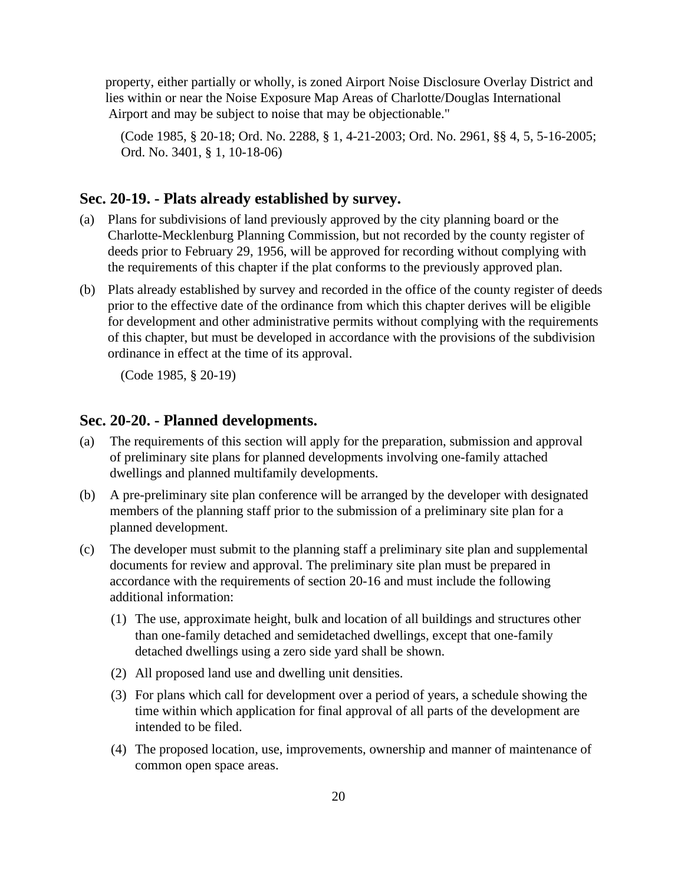property, either partially or wholly, is zoned Airport Noise Disclosure Overlay District and lies within or near the Noise Exposure Map Areas of Charlotte/Douglas International Airport and may be subject to noise that may be objectionable."

(Code 1985, § 20-18; Ord. No. 2288, § 1, 4-21-2003; Ord. No. 2961, §§ 4, 5, 5-16-2005; Ord. No. 3401, § 1, 10-18-06)

## **Sec. 20-19. - Plats already established by survey.**

- (a) Plans for subdivisions of land previously approved by the city planning board or the Charlotte-Mecklenburg Planning Commission, but not recorded by the county register of deeds prior to February 29, 1956, will be approved for recording without complying with the requirements of this chapter if the plat conforms to the previously approved plan.
- (b) Plats already established by survey and recorded in the office of the county register of deeds prior to the effective date of the ordinance from which this chapter derives will be eligible for development and other administrative permits without complying with the requirements of this chapter, but must be developed in accordance with the provisions of the subdivision ordinance in effect at the time of its approval.

(Code 1985, § 20-19)

## **Sec. 20-20. - Planned developments.**

- (a) The requirements of this section will apply for the preparation, submission and approval of preliminary site plans for planned developments involving one-family attached dwellings and planned multifamily developments.
- (b) A pre-preliminary site plan conference will be arranged by the developer with designated members of the planning staff prior to the submission of a preliminary site plan for a planned development.
- (c) The developer must submit to the planning staff a preliminary site plan and supplemental documents for review and approval. The preliminary site plan must be prepared in accordance with the requirements of section 20-16 and must include the following additional information:
	- (1) The use, approximate height, bulk and location of all buildings and structures other than one-family detached and semidetached dwellings, except that one-family detached dwellings using a zero side yard shall be shown.
	- (2) All proposed land use and dwelling unit densities.
	- (3) For plans which call for development over a period of years, a schedule showing the time within which application for final approval of all parts of the development are intended to be filed.
	- (4) The proposed location, use, improvements, ownership and manner of maintenance of common open space areas.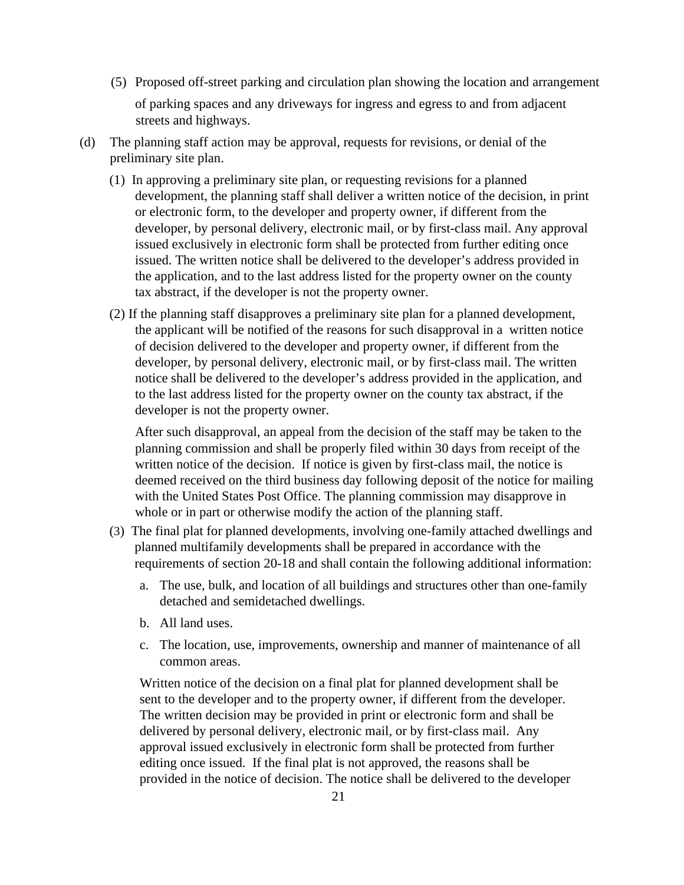- (5) Proposed off-street parking and circulation plan showing the location and arrangement of parking spaces and any driveways for ingress and egress to and from adjacent streets and highways.
- (d) The planning staff action may be approval, requests for revisions, or denial of the preliminary site plan.
	- (1) In approving a preliminary site plan, or requesting revisions for a planned development, the planning staff shall deliver a written notice of the decision, in print or electronic form, to the developer and property owner, if different from the developer, by personal delivery, electronic mail, or by first-class mail. Any approval issued exclusively in electronic form shall be protected from further editing once issued. The written notice shall be delivered to the developer's address provided in the application, and to the last address listed for the property owner on the county tax abstract, if the developer is not the property owner.
	- (2) If the planning staff disapproves a preliminary site plan for a planned development, the applicant will be notified of the reasons for such disapproval in a written notice of decision delivered to the developer and property owner, if different from the developer, by personal delivery, electronic mail, or by first-class mail. The written notice shall be delivered to the developer's address provided in the application, and to the last address listed for the property owner on the county tax abstract, if the developer is not the property owner.

After such disapproval, an appeal from the decision of the staff may be taken to the planning commission and shall be properly filed within 30 days from receipt of the written notice of the decision. If notice is given by first-class mail, the notice is deemed received on the third business day following deposit of the notice for mailing with the United States Post Office. The planning commission may disapprove in whole or in part or otherwise modify the action of the planning staff.

- (3) The final plat for planned developments, involving one-family attached dwellings and planned multifamily developments shall be prepared in accordance with the requirements of section 20-18 and shall contain the following additional information:
	- a. The use, bulk, and location of all buildings and structures other than one-family detached and semidetached dwellings.
	- b. All land uses.
	- c. The location, use, improvements, ownership and manner of maintenance of all common areas.

Written notice of the decision on a final plat for planned development shall be sent to the developer and to the property owner, if different from the developer. The written decision may be provided in print or electronic form and shall be delivered by personal delivery, electronic mail, or by first-class mail. Any approval issued exclusively in electronic form shall be protected from further editing once issued. If the final plat is not approved, the reasons shall be provided in the notice of decision. The notice shall be delivered to the developer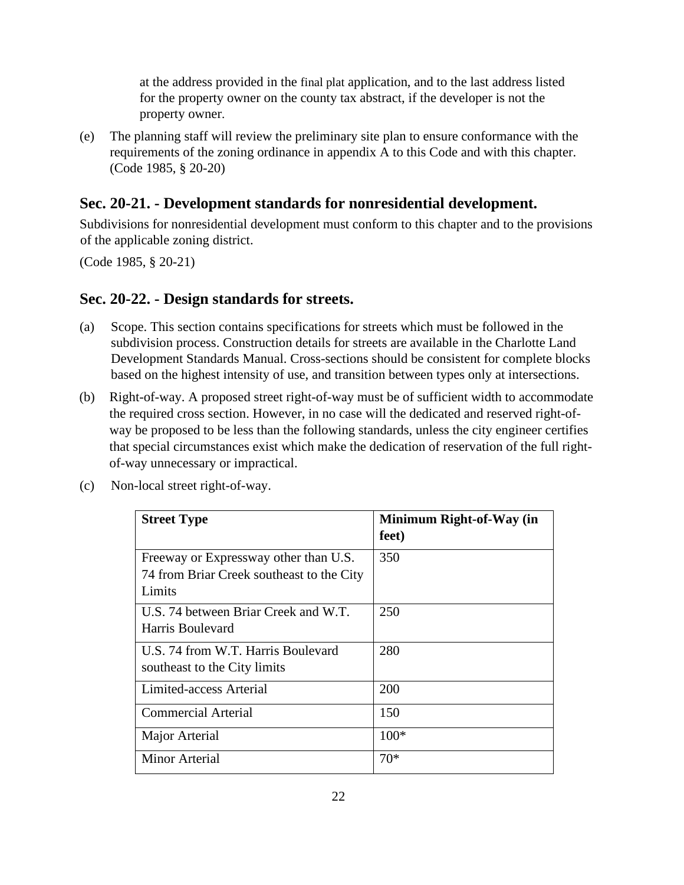at the address provided in the final plat application, and to the last address listed for the property owner on the county tax abstract, if the developer is not the property owner.

(e) The planning staff will review the preliminary site plan to ensure conformance with the requirements of the zoning ordinance in appendix A to this Code and with this chapter. (Code 1985, § 20-20)

## **Sec. 20-21. - Development standards for nonresidential development.**

Subdivisions for nonresidential development must conform to this chapter and to the provisions of the applicable zoning district.

(Code 1985, § 20-21)

## **Sec. 20-22. - Design standards for streets.**

- (a) Scope. This section contains specifications for streets which must be followed in the subdivision process. Construction details for streets are available in the Charlotte Land Development Standards Manual. Cross-sections should be consistent for complete blocks based on the highest intensity of use, and transition between types only at intersections.
- (b) Right-of-way. A proposed street right-of-way must be of sufficient width to accommodate the required cross section. However, in no case will the dedicated and reserved right-ofway be proposed to be less than the following standards, unless the city engineer certifies that special circumstances exist which make the dedication of reservation of the full rightof-way unnecessary or impractical.
- (c) Non-local street right-of-way.

| <b>Street Type</b>                                                                           | Minimum Right-of-Way (in<br>feet) |
|----------------------------------------------------------------------------------------------|-----------------------------------|
| Freeway or Expressway other than U.S.<br>74 from Briar Creek southeast to the City<br>Limits | 350                               |
| U.S. 74 between Briar Creek and W.T.<br>Harris Boulevard                                     | 250                               |
| U.S. 74 from W.T. Harris Boulevard<br>southeast to the City limits                           | 280                               |
| Limited-access Arterial                                                                      | 200                               |
| <b>Commercial Arterial</b>                                                                   | 150                               |
| Major Arterial                                                                               | $100*$                            |
| Minor Arterial                                                                               | $70*$                             |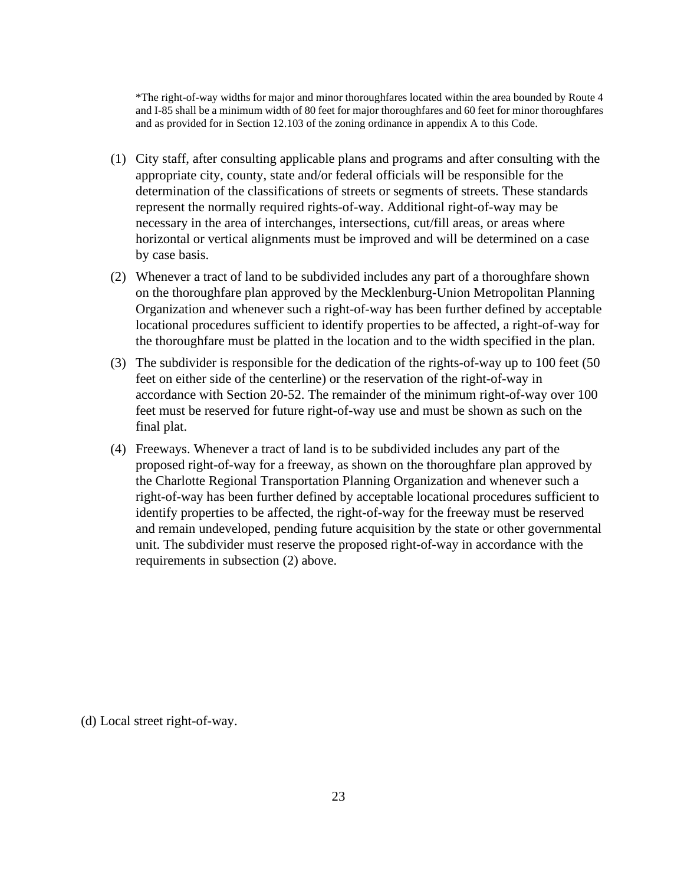\*The right-of-way widths for major and minor thoroughfares located within the area bounded by Route 4 and I-85 shall be a minimum width of 80 feet for major thoroughfares and 60 feet for minor thoroughfares and as provided for in Section 12.103 of the zoning ordinance in appendix A to this Code.

- (1) City staff, after consulting applicable plans and programs and after consulting with the appropriate city, county, state and/or federal officials will be responsible for the determination of the classifications of streets or segments of streets. These standards represent the normally required rights-of-way. Additional right-of-way may be necessary in the area of interchanges, intersections, cut/fill areas, or areas where horizontal or vertical alignments must be improved and will be determined on a case by case basis.
- (2) Whenever a tract of land to be subdivided includes any part of a thoroughfare shown on the thoroughfare plan approved by the Mecklenburg-Union Metropolitan Planning Organization and whenever such a right-of-way has been further defined by acceptable locational procedures sufficient to identify properties to be affected, a right-of-way for the thoroughfare must be platted in the location and to the width specified in the plan.
- (3) The subdivider is responsible for the dedication of the rights-of-way up to 100 feet (50 feet on either side of the centerline) or the reservation of the right-of-way in accordance with Section 20-52. The remainder of the minimum right-of-way over 100 feet must be reserved for future right-of-way use and must be shown as such on the final plat.
- (4) Freeways. Whenever a tract of land is to be subdivided includes any part of the proposed right-of-way for a freeway, as shown on the thoroughfare plan approved by the Charlotte Regional Transportation Planning Organization and whenever such a right-of-way has been further defined by acceptable locational procedures sufficient to identify properties to be affected, the right-of-way for the freeway must be reserved and remain undeveloped, pending future acquisition by the state or other governmental unit. The subdivider must reserve the proposed right-of-way in accordance with the requirements in subsection (2) above.

(d) Local street right-of-way.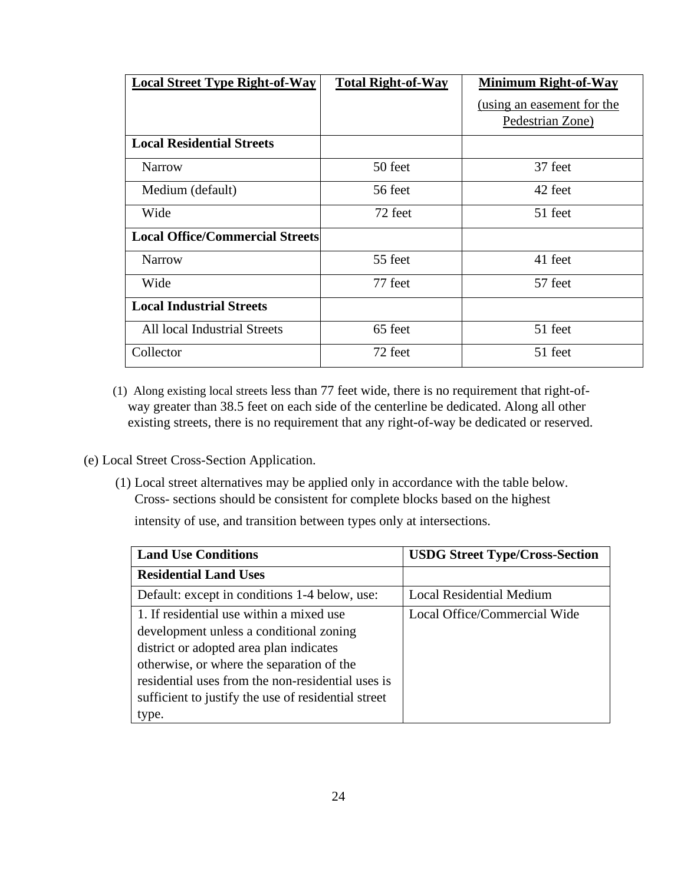| <b>Local Street Type Right-of-Way</b>  | <b>Total Right-of-Way</b> | <b>Minimum Right-of-Way</b> |
|----------------------------------------|---------------------------|-----------------------------|
|                                        |                           | (using an easement for the  |
|                                        |                           | Pedestrian Zone)            |
| <b>Local Residential Streets</b>       |                           |                             |
| <b>Narrow</b>                          | 50 feet                   | 37 feet                     |
| Medium (default)                       | 56 feet                   | 42 feet                     |
| Wide                                   | 72 feet                   | 51 feet                     |
| <b>Local Office/Commercial Streets</b> |                           |                             |
| <b>Narrow</b>                          | 55 feet                   | 41 feet                     |
| Wide                                   | 77 feet                   | 57 feet                     |
| <b>Local Industrial Streets</b>        |                           |                             |
| All local Industrial Streets           | 65 feet                   | 51 feet                     |
| Collector                              | 72 feet                   | 51 feet                     |

(1) Along existing local streets less than 77 feet wide, there is no requirement that right-ofway greater than 38.5 feet on each side of the centerline be dedicated. Along all other existing streets, there is no requirement that any right-of-way be dedicated or reserved.

## (e) Local Street Cross-Section Application.

(1) Local street alternatives may be applied only in accordance with the table below. Cross- sections should be consistent for complete blocks based on the highest

intensity of use, and transition between types only at intersections.

| <b>Land Use Conditions</b>                                                                                                                                                                                                                                                                       | <b>USDG Street Type/Cross-Section</b> |
|--------------------------------------------------------------------------------------------------------------------------------------------------------------------------------------------------------------------------------------------------------------------------------------------------|---------------------------------------|
| <b>Residential Land Uses</b>                                                                                                                                                                                                                                                                     |                                       |
| Default: except in conditions 1-4 below, use:                                                                                                                                                                                                                                                    | <b>Local Residential Medium</b>       |
| 1. If residential use within a mixed use<br>development unless a conditional zoning<br>district or adopted area plan indicates<br>otherwise, or where the separation of the<br>residential uses from the non-residential uses is<br>sufficient to justify the use of residential street<br>type. | Local Office/Commercial Wide          |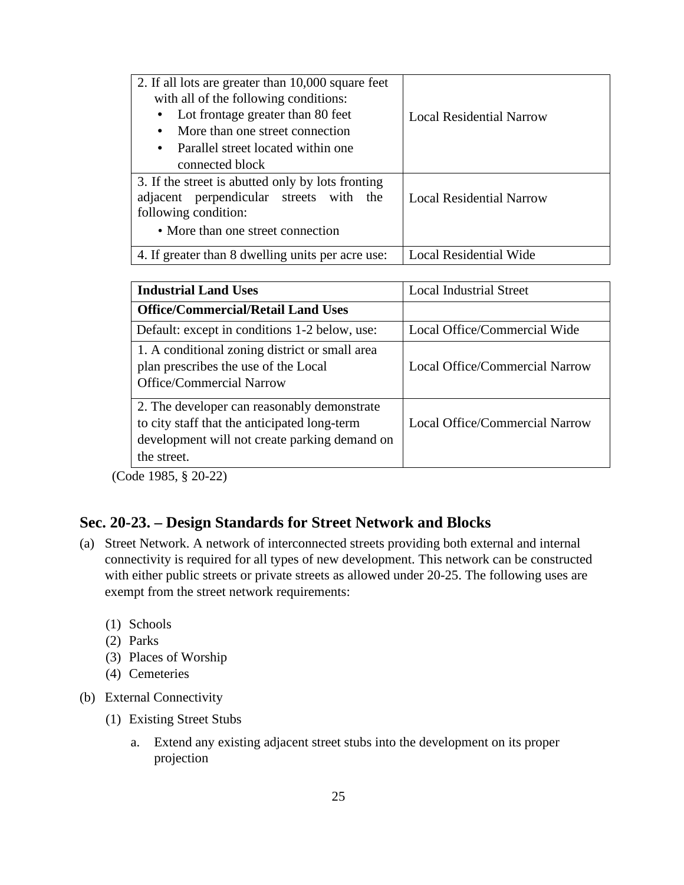| 2. If all lots are greater than 10,000 square feet<br>with all of the following conditions:                          |                                 |
|----------------------------------------------------------------------------------------------------------------------|---------------------------------|
| Lot frontage greater than 80 feet<br>$\bullet$<br>More than one street connection<br>$\bullet$                       | <b>Local Residential Narrow</b> |
| Parallel street located within one<br>$\bullet$                                                                      |                                 |
| connected block                                                                                                      |                                 |
| 3. If the street is abutted only by lots fronting<br>adjacent perpendicular streets with the<br>following condition: | <b>Local Residential Narrow</b> |
| • More than one street connection                                                                                    |                                 |
| 4. If greater than 8 dwelling units per acre use:                                                                    | <b>Local Residential Wide</b>   |

| <b>Industrial Land Uses</b>                                                                                                                                 | <b>Local Industrial Street</b> |
|-------------------------------------------------------------------------------------------------------------------------------------------------------------|--------------------------------|
| <b>Office/Commercial/Retail Land Uses</b>                                                                                                                   |                                |
| Default: except in conditions 1-2 below, use:                                                                                                               | Local Office/Commercial Wide   |
| 1. A conditional zoning district or small area<br>plan prescribes the use of the Local<br><b>Office/Commercial Narrow</b>                                   | Local Office/Commercial Narrow |
| 2. The developer can reasonably demonstrate<br>to city staff that the anticipated long-term<br>development will not create parking demand on<br>the street. | Local Office/Commercial Narrow |

(Code 1985, § 20-22)

## **Sec. 20-23. – Design Standards for Street Network and Blocks**

- (a) Street Network. A network of interconnected streets providing both external and internal connectivity is required for all types of new development. This network can be constructed with either public streets or private streets as allowed under 20-25. The following uses are exempt from the street network requirements:
	- (1) Schools
	- (2) Parks
	- (3) Places of Worship
	- (4) Cemeteries

(b) External Connectivity

- (1) Existing Street Stubs
	- a. Extend any existing adjacent street stubs into the development on its proper projection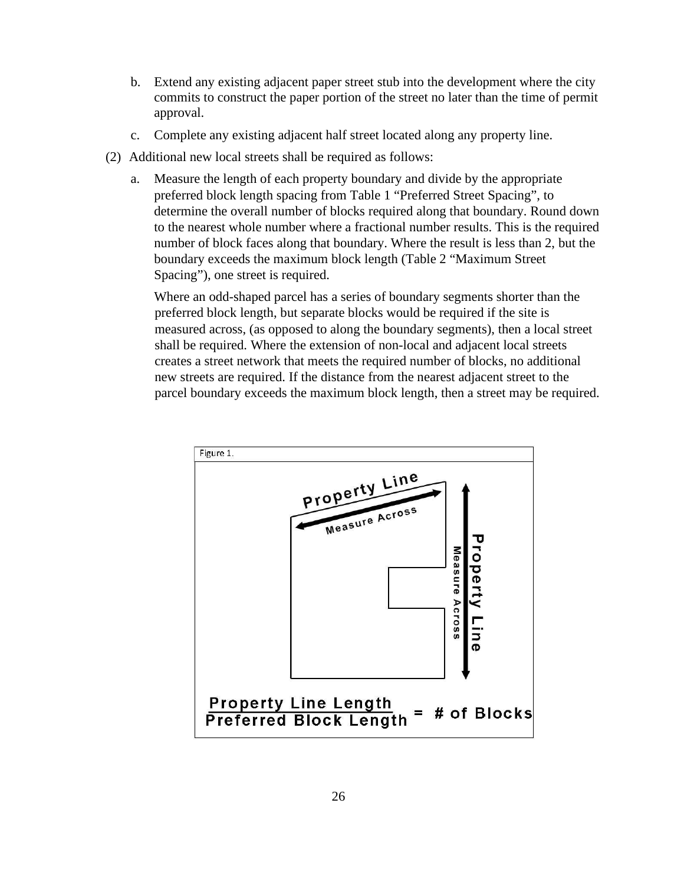- b. Extend any existing adjacent paper street stub into the development where the city commits to construct the paper portion of the street no later than the time of permit approval.
- c. Complete any existing adjacent half street located along any property line.
- (2) Additional new local streets shall be required as follows:
	- a. Measure the length of each property boundary and divide by the appropriate preferred block length spacing from Table 1 "Preferred Street Spacing", to determine the overall number of blocks required along that boundary. Round down to the nearest whole number where a fractional number results. This is the required number of block faces along that boundary. Where the result is less than 2, but the boundary exceeds the maximum block length (Table 2 "Maximum Street Spacing"), one street is required.

Where an odd-shaped parcel has a series of boundary segments shorter than the preferred block length, but separate blocks would be required if the site is measured across, (as opposed to along the boundary segments), then a local street shall be required. Where the extension of non-local and adjacent local streets creates a street network that meets the required number of blocks, no additional new streets are required. If the distance from the nearest adjacent street to the parcel boundary exceeds the maximum block length, then a street may be required.

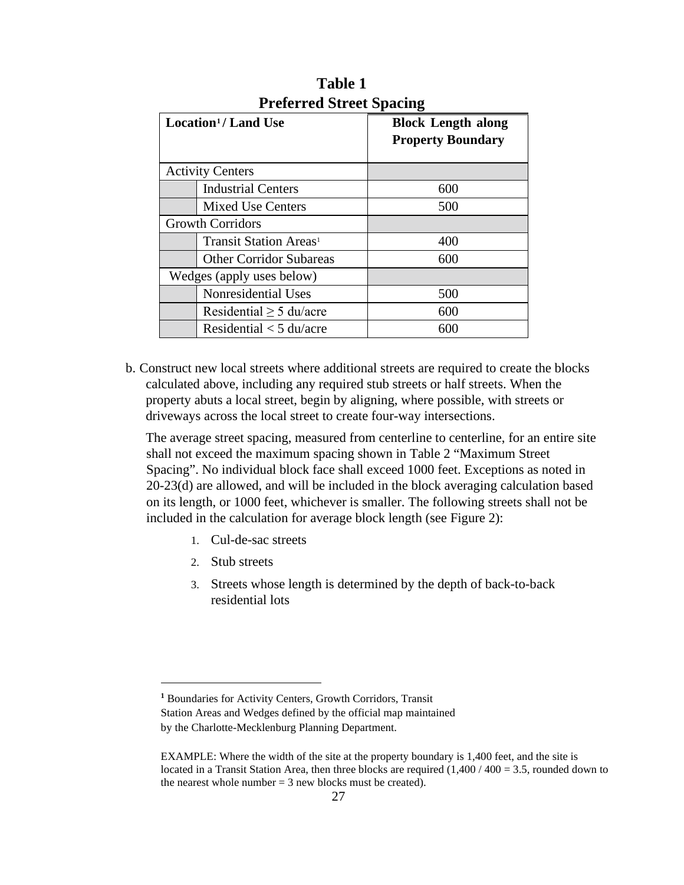|                           | Location <sup>1</sup> /Land Use    | <b>Block Length along</b><br><b>Property Boundary</b> |
|---------------------------|------------------------------------|-------------------------------------------------------|
| <b>Activity Centers</b>   |                                    |                                                       |
|                           | <b>Industrial Centers</b>          | 600                                                   |
|                           | <b>Mixed Use Centers</b>           | 500                                                   |
| <b>Growth Corridors</b>   |                                    |                                                       |
|                           | Transit Station Areas <sup>1</sup> | 400                                                   |
|                           | <b>Other Corridor Subareas</b>     | 600                                                   |
| Wedges (apply uses below) |                                    |                                                       |
|                           | Nonresidential Uses                | 500                                                   |
|                           | Residential $\geq$ 5 du/acre       | 600                                                   |
|                           | Residential $<$ 5 du/acre          | 600                                                   |

**Table 1 Preferred Street Spacing** 

b. Construct new local streets where additional streets are required to create the blocks calculated above, including any required stub streets or half streets. When the property abuts a local street, begin by aligning, where possible, with streets or driveways across the local street to create four-way intersections.

The average street spacing, measured from centerline to centerline, for an entire site shall not exceed the maximum spacing shown in Table 2 "Maximum Street Spacing". No individual block face shall exceed 1000 feet. Exceptions as noted in 20-23(d) are allowed, and will be included in the block averaging calculation based on its length, or 1000 feet, whichever is smaller. The following streets shall not be included in the calculation for average block length (see Figure 2):

- 1. Cul-de-sac streets
- 2. Stub streets
- 3. Streets whose length is determined by the depth of back-to-back residential lots

<span id="page-30-0"></span>**<sup>1</sup>** Boundaries for Activity Centers, Growth Corridors, Transit Station Areas and Wedges defined by the official map maintained by the Charlotte-Mecklenburg Planning Department.

EXAMPLE: Where the width of the site at the property boundary is 1,400 feet, and the site is located in a Transit Station Area, then three blocks are required  $(1,400 / 400 = 3.5$ , rounded down to the nearest whole number  $= 3$  new blocks must be created).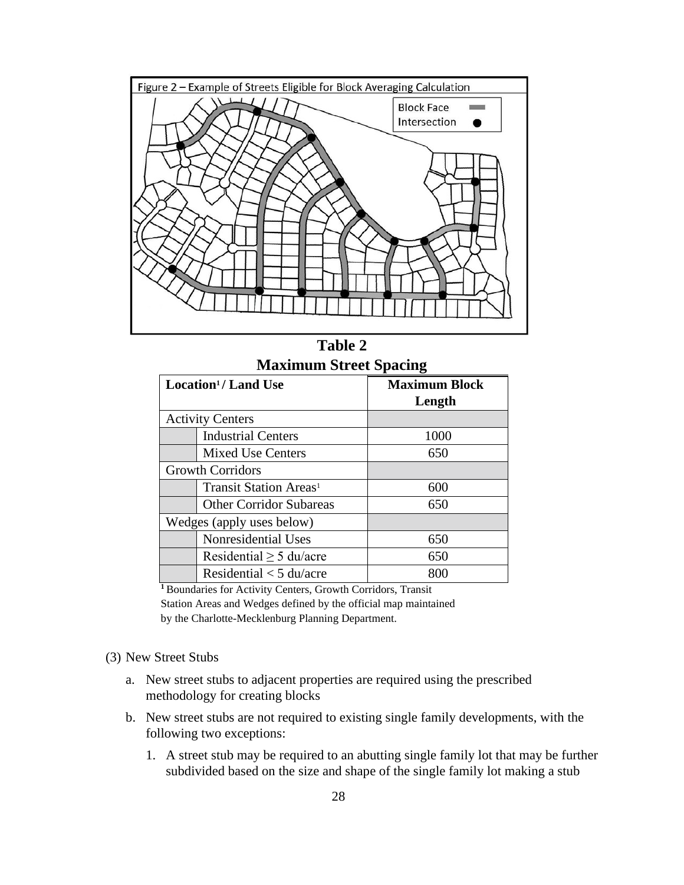

**Table 2 Maximum Street Spacing** 

| Location <sup>1</sup> / Land Use |                                    | <b>Maximum Block</b> |
|----------------------------------|------------------------------------|----------------------|
|                                  |                                    | Length               |
| <b>Activity Centers</b>          |                                    |                      |
|                                  | <b>Industrial Centers</b>          | 1000                 |
|                                  | <b>Mixed Use Centers</b>           | 650                  |
| <b>Growth Corridors</b>          |                                    |                      |
|                                  | Transit Station Areas <sup>1</sup> | 600                  |
|                                  | <b>Other Corridor Subareas</b>     | 650                  |
| Wedges (apply uses below)        |                                    |                      |
|                                  | Nonresidential Uses                | 650                  |
|                                  | Residential $\geq$ 5 du/acre       | 650                  |
|                                  | Residential $<$ 5 du/acre          |                      |

**<sup>1</sup>**Boundaries for Activity Centers, Growth Corridors, Transit Station Areas and Wedges defined by the official map maintained by the Charlotte-Mecklenburg Planning Department.

- (3) New Street Stubs
	- a. New street stubs to adjacent properties are required using the prescribed methodology for creating blocks
	- b. New street stubs are not required to existing single family developments, with the following two exceptions:
		- 1. A street stub may be required to an abutting single family lot that may be further subdivided based on the size and shape of the single family lot making a stub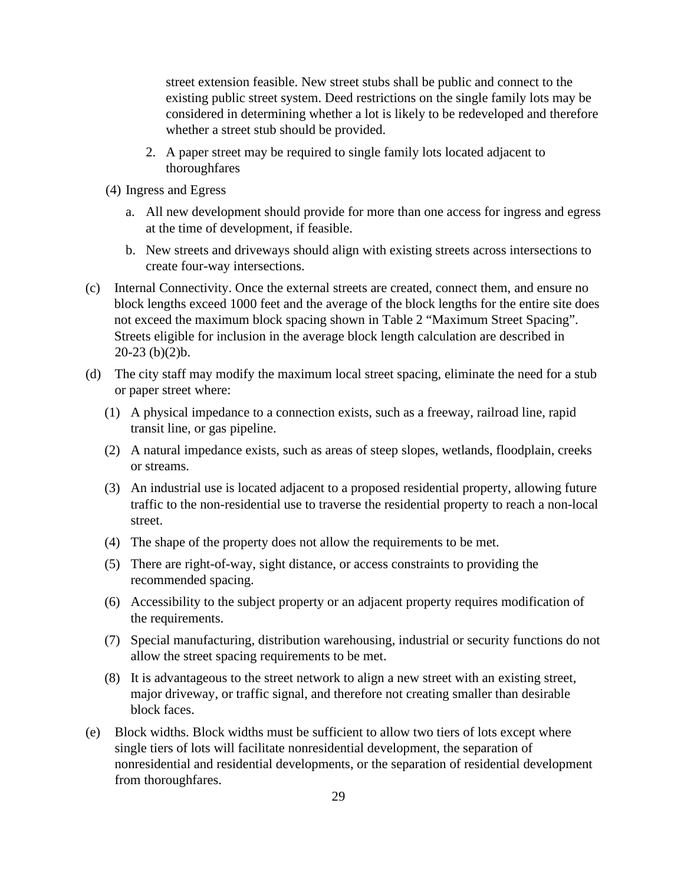street extension feasible. New street stubs shall be public and connect to the existing public street system. Deed restrictions on the single family lots may be considered in determining whether a lot is likely to be redeveloped and therefore whether a street stub should be provided.

- 2. A paper street may be required to single family lots located adjacent to thoroughfares
- (4) Ingress and Egress
	- a. All new development should provide for more than one access for ingress and egress at the time of development, if feasible.
	- b. New streets and driveways should align with existing streets across intersections to create four-way intersections.
- (c) Internal Connectivity. Once the external streets are created, connect them, and ensure no block lengths exceed 1000 feet and the average of the block lengths for the entire site does not exceed the maximum block spacing shown in Table 2 "Maximum Street Spacing". Streets eligible for inclusion in the average block length calculation are described in 20-23 (b)(2)b.
- (d) The city staff may modify the maximum local street spacing, eliminate the need for a stub or paper street where:
	- (1) A physical impedance to a connection exists, such as a freeway, railroad line, rapid transit line, or gas pipeline.
	- (2) A natural impedance exists, such as areas of steep slopes, wetlands, floodplain, creeks or streams.
	- (3) An industrial use is located adjacent to a proposed residential property, allowing future traffic to the non-residential use to traverse the residential property to reach a non-local street.
	- (4) The shape of the property does not allow the requirements to be met.
	- (5) There are right-of-way, sight distance, or access constraints to providing the recommended spacing.
	- (6) Accessibility to the subject property or an adjacent property requires modification of the requirements.
	- (7) Special manufacturing, distribution warehousing, industrial or security functions do not allow the street spacing requirements to be met.
	- (8) It is advantageous to the street network to align a new street with an existing street, major driveway, or traffic signal, and therefore not creating smaller than desirable block faces.
- (e) Block widths. Block widths must be sufficient to allow two tiers of lots except where single tiers of lots will facilitate nonresidential development, the separation of nonresidential and residential developments, or the separation of residential development from thoroughfares.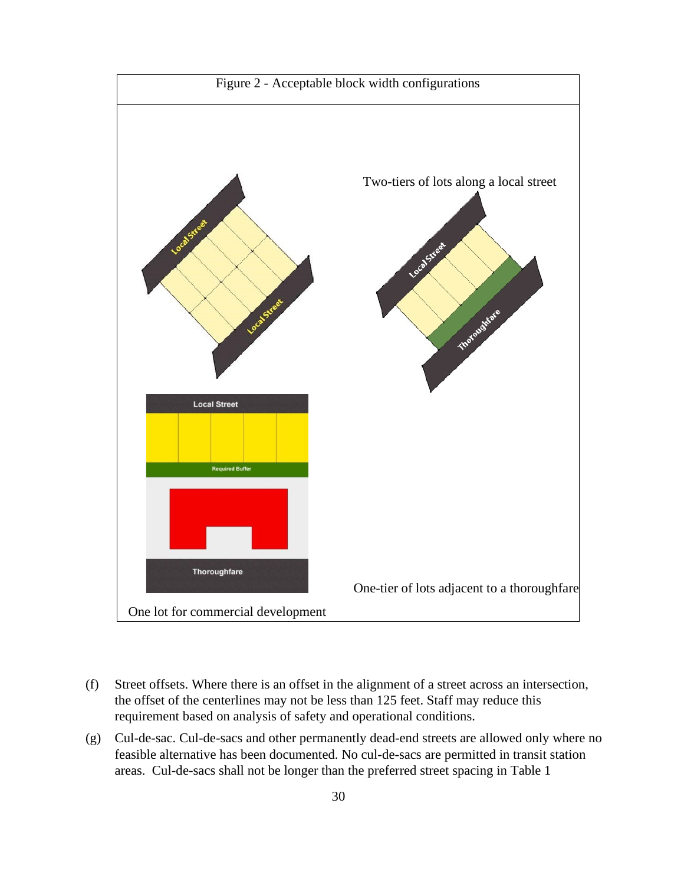

- (f) Street offsets. Where there is an offset in the alignment of a street across an intersection, the offset of the centerlines may not be less than 125 feet. Staff may reduce this requirement based on analysis of safety and operational conditions.
- (g) Cul-de-sac. Cul-de-sacs and other permanently dead-end streets are allowed only where no feasible alternative has been documented. No cul-de-sacs are permitted in transit station areas. Cul-de-sacs shall not be longer than the preferred street spacing in Table 1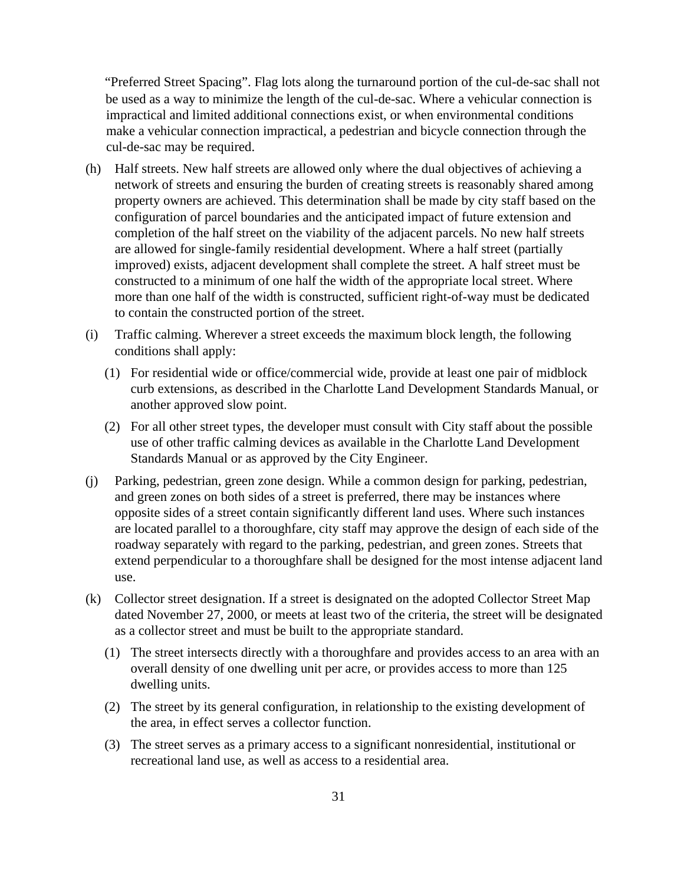"Preferred Street Spacing". Flag lots along the turnaround portion of the cul-de-sac shall not be used as a way to minimize the length of the cul-de-sac. Where a vehicular connection is impractical and limited additional connections exist, or when environmental conditions make a vehicular connection impractical, a pedestrian and bicycle connection through the cul-de-sac may be required.

- (h) Half streets. New half streets are allowed only where the dual objectives of achieving a network of streets and ensuring the burden of creating streets is reasonably shared among property owners are achieved. This determination shall be made by city staff based on the configuration of parcel boundaries and the anticipated impact of future extension and completion of the half street on the viability of the adjacent parcels. No new half streets are allowed for single-family residential development. Where a half street (partially improved) exists, adjacent development shall complete the street. A half street must be constructed to a minimum of one half the width of the appropriate local street. Where more than one half of the width is constructed, sufficient right-of-way must be dedicated to contain the constructed portion of the street.
- (i) Traffic calming. Wherever a street exceeds the maximum block length, the following conditions shall apply:
	- (1) For residential wide or office/commercial wide, provide at least one pair of midblock curb extensions, as described in the Charlotte Land Development Standards Manual, or another approved slow point.
	- (2) For all other street types, the developer must consult with City staff about the possible use of other traffic calming devices as available in the Charlotte Land Development Standards Manual or as approved by the City Engineer.
- (j) Parking, pedestrian, green zone design. While a common design for parking, pedestrian, and green zones on both sides of a street is preferred, there may be instances where opposite sides of a street contain significantly different land uses. Where such instances are located parallel to a thoroughfare, city staff may approve the design of each side of the roadway separately with regard to the parking, pedestrian, and green zones. Streets that extend perpendicular to a thoroughfare shall be designed for the most intense adjacent land use.
- (k) Collector street designation. If a street is designated on the adopted Collector Street Map dated November 27, 2000, or meets at least two of the criteria, the street will be designated as a collector street and must be built to the appropriate standard.
	- (1) The street intersects directly with a thoroughfare and provides access to an area with an overall density of one dwelling unit per acre, or provides access to more than 125 dwelling units.
	- (2) The street by its general configuration, in relationship to the existing development of the area, in effect serves a collector function.
	- (3) The street serves as a primary access to a significant nonresidential, institutional or recreational land use, as well as access to a residential area.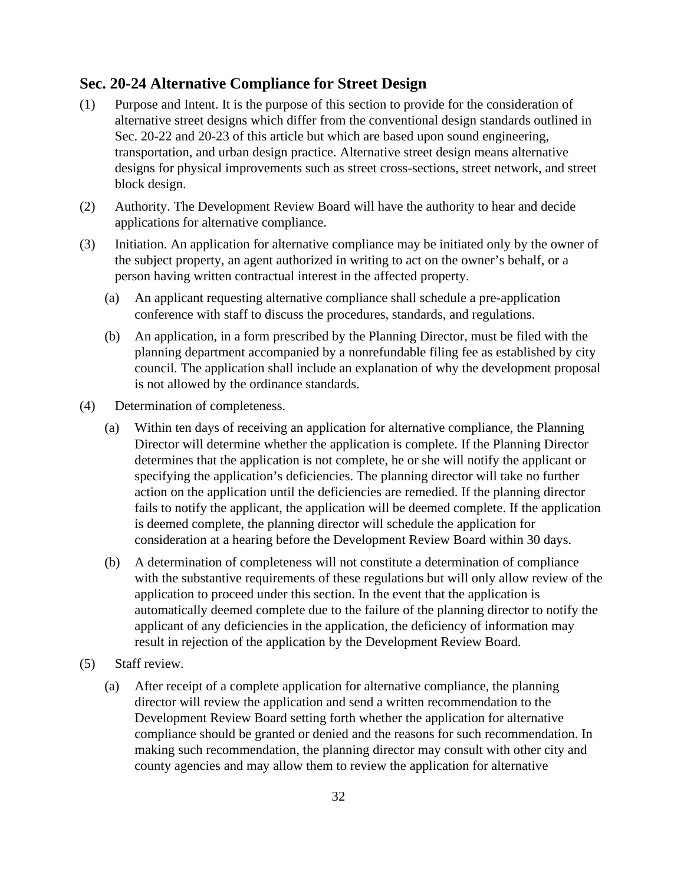## **Sec. 20-24 Alternative Compliance for Street Design**

- (1) Purpose and Intent. It is the purpose of this section to provide for the consideration of alternative street designs which differ from the conventional design standards outlined in Sec. 20-22 and 20-23 of this article but which are based upon sound engineering, transportation, and urban design practice. Alternative street design means alternative designs for physical improvements such as street cross-sections, street network, and street block design.
- (2) Authority. The Development Review Board will have the authority to hear and decide applications for alternative compliance.
- (3) Initiation. An application for alternative compliance may be initiated only by the owner of the subject property, an agent authorized in writing to act on the owner's behalf, or a person having written contractual interest in the affected property.
	- (a) An applicant requesting alternative compliance shall schedule a pre-application conference with staff to discuss the procedures, standards, and regulations.
	- (b) An application, in a form prescribed by the Planning Director, must be filed with the planning department accompanied by a nonrefundable filing fee as established by city council. The application shall include an explanation of why the development proposal is not allowed by the ordinance standards.
- (4) Determination of completeness.
	- (a) Within ten days of receiving an application for alternative compliance, the Planning Director will determine whether the application is complete. If the Planning Director determines that the application is not complete, he or she will notify the applicant or specifying the application's deficiencies. The planning director will take no further action on the application until the deficiencies are remedied. If the planning director fails to notify the applicant, the application will be deemed complete. If the application is deemed complete, the planning director will schedule the application for consideration at a hearing before the Development Review Board within 30 days.
	- (b) A determination of completeness will not constitute a determination of compliance with the substantive requirements of these regulations but will only allow review of the application to proceed under this section. In the event that the application is automatically deemed complete due to the failure of the planning director to notify the applicant of any deficiencies in the application, the deficiency of information may result in rejection of the application by the Development Review Board.
- (5) Staff review.
	- (a) After receipt of a complete application for alternative compliance, the planning director will review the application and send a written recommendation to the Development Review Board setting forth whether the application for alternative compliance should be granted or denied and the reasons for such recommendation. In making such recommendation, the planning director may consult with other city and county agencies and may allow them to review the application for alternative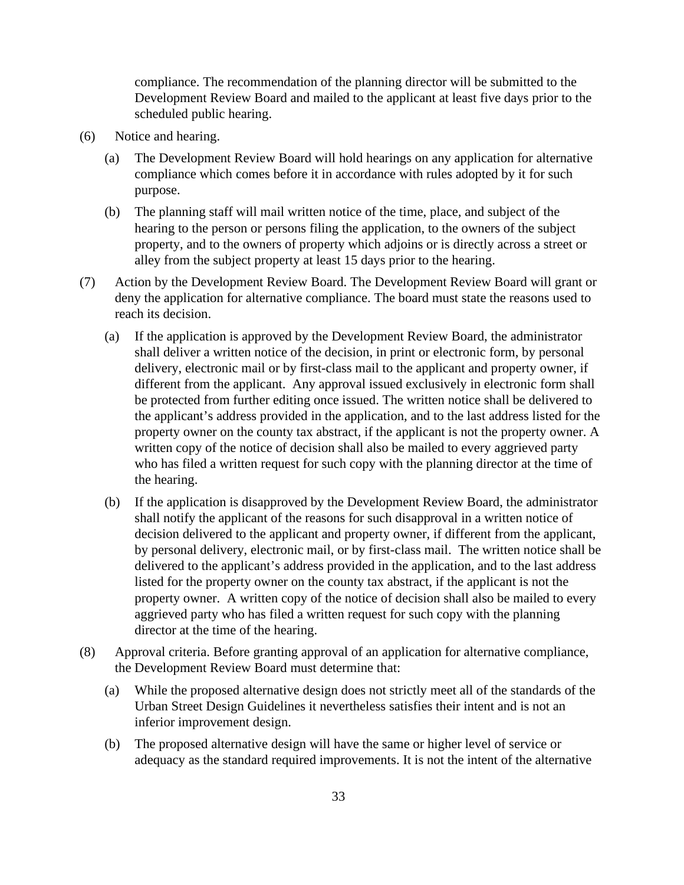compliance. The recommendation of the planning director will be submitted to the Development Review Board and mailed to the applicant at least five days prior to the scheduled public hearing.

- (6) Notice and hearing.
	- (a) The Development Review Board will hold hearings on any application for alternative compliance which comes before it in accordance with rules adopted by it for such purpose.
	- (b) The planning staff will mail written notice of the time, place, and subject of the hearing to the person or persons filing the application, to the owners of the subject property, and to the owners of property which adjoins or is directly across a street or alley from the subject property at least 15 days prior to the hearing.
- (7) Action by the Development Review Board. The Development Review Board will grant or deny the application for alternative compliance. The board must state the reasons used to reach its decision.
	- (a) If the application is approved by the Development Review Board, the administrator shall deliver a written notice of the decision, in print or electronic form, by personal delivery, electronic mail or by first-class mail to the applicant and property owner, if different from the applicant. Any approval issued exclusively in electronic form shall be protected from further editing once issued. The written notice shall be delivered to the applicant's address provided in the application, and to the last address listed for the property owner on the county tax abstract, if the applicant is not the property owner. A written copy of the notice of decision shall also be mailed to every aggrieved party who has filed a written request for such copy with the planning director at the time of the hearing.
	- (b) If the application is disapproved by the Development Review Board, the administrator shall notify the applicant of the reasons for such disapproval in a written notice of decision delivered to the applicant and property owner, if different from the applicant, by personal delivery, electronic mail, or by first-class mail. The written notice shall be delivered to the applicant's address provided in the application, and to the last address listed for the property owner on the county tax abstract, if the applicant is not the property owner. A written copy of the notice of decision shall also be mailed to every aggrieved party who has filed a written request for such copy with the planning director at the time of the hearing.
- (8) Approval criteria. Before granting approval of an application for alternative compliance, the Development Review Board must determine that:
	- (a) While the proposed alternative design does not strictly meet all of the standards of the Urban Street Design Guidelines it nevertheless satisfies their intent and is not an inferior improvement design.
	- (b) The proposed alternative design will have the same or higher level of service or adequacy as the standard required improvements. It is not the intent of the alternative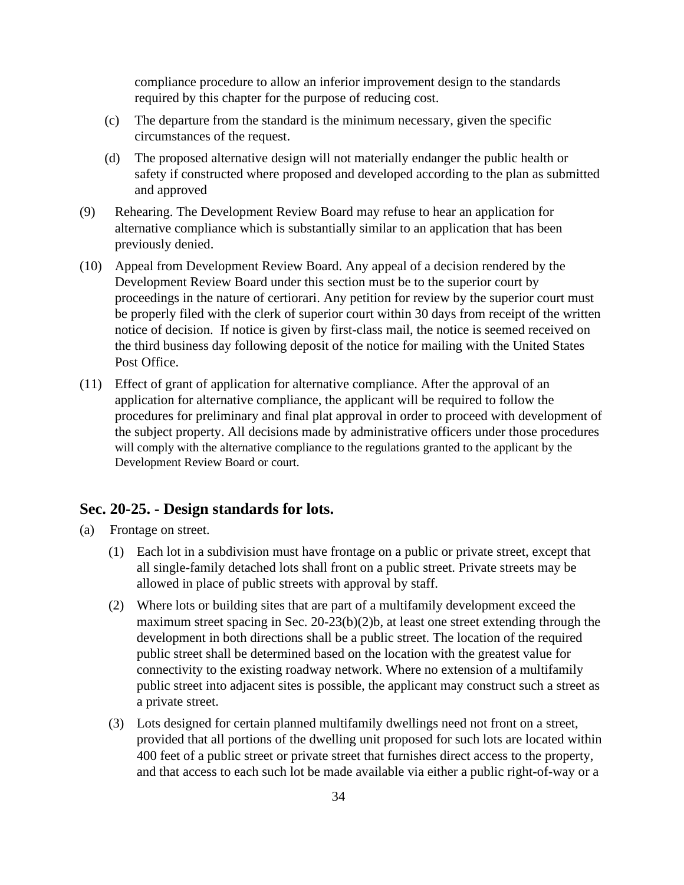compliance procedure to allow an inferior improvement design to the standards required by this chapter for the purpose of reducing cost.

- (c) The departure from the standard is the minimum necessary, given the specific circumstances of the request.
- (d) The proposed alternative design will not materially endanger the public health or safety if constructed where proposed and developed according to the plan as submitted and approved
- (9) Rehearing. The Development Review Board may refuse to hear an application for alternative compliance which is substantially similar to an application that has been previously denied.
- (10) Appeal from Development Review Board. Any appeal of a decision rendered by the Development Review Board under this section must be to the superior court by proceedings in the nature of certiorari. Any petition for review by the superior court must be properly filed with the clerk of superior court within 30 days from receipt of the written notice of decision. If notice is given by first-class mail, the notice is seemed received on the third business day following deposit of the notice for mailing with the United States Post Office.
- (11) Effect of grant of application for alternative compliance. After the approval of an application for alternative compliance, the applicant will be required to follow the procedures for preliminary and final plat approval in order to proceed with development of the subject property. All decisions made by administrative officers under those procedures will comply with the alternative compliance to the regulations granted to the applicant by the Development Review Board or court.

#### **Sec. 20-25. - Design standards for lots.**

- (a) Frontage on street.
	- (1) Each lot in a subdivision must have frontage on a public or private street, except that all single-family detached lots shall front on a public street. Private streets may be allowed in place of public streets with approval by staff.
	- (2) Where lots or building sites that are part of a multifamily development exceed the maximum street spacing in Sec. 20-23(b)(2)b, at least one street extending through the development in both directions shall be a public street. The location of the required public street shall be determined based on the location with the greatest value for connectivity to the existing roadway network. Where no extension of a multifamily public street into adjacent sites is possible, the applicant may construct such a street as a private street.
	- (3) Lots designed for certain planned multifamily dwellings need not front on a street, provided that all portions of the dwelling unit proposed for such lots are located within 400 feet of a public street or private street that furnishes direct access to the property, and that access to each such lot be made available via either a public right-of-way or a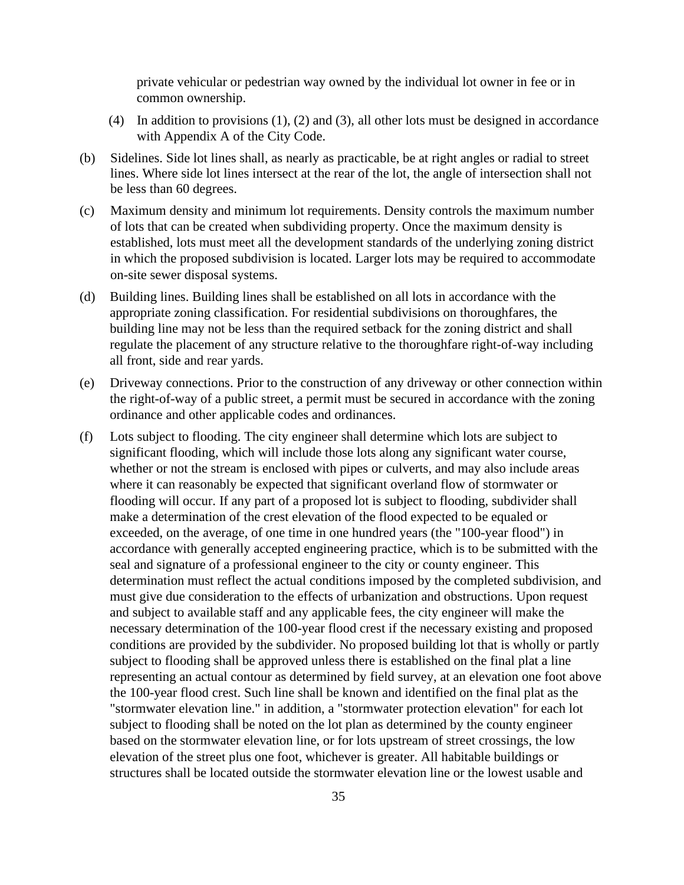private vehicular or pedestrian way owned by the individual lot owner in fee or in common ownership.

- (4) In addition to provisions (1), (2) and (3), all other lots must be designed in accordance with Appendix A of the City Code.
- (b) Sidelines. Side lot lines shall, as nearly as practicable, be at right angles or radial to street lines. Where side lot lines intersect at the rear of the lot, the angle of intersection shall not be less than 60 degrees.
- (c) Maximum density and minimum lot requirements. Density controls the maximum number of lots that can be created when subdividing property. Once the maximum density is established, lots must meet all the development standards of the underlying zoning district in which the proposed subdivision is located. Larger lots may be required to accommodate on-site sewer disposal systems.
- (d) Building lines. Building lines shall be established on all lots in accordance with the appropriate zoning classification. For residential subdivisions on thoroughfares, the building line may not be less than the required setback for the zoning district and shall regulate the placement of any structure relative to the thoroughfare right-of-way including all front, side and rear yards.
- (e) Driveway connections. Prior to the construction of any driveway or other connection within the right-of-way of a public street, a permit must be secured in accordance with the zoning ordinance and other applicable codes and ordinances.
- (f) Lots subject to flooding. The city engineer shall determine which lots are subject to significant flooding, which will include those lots along any significant water course, whether or not the stream is enclosed with pipes or culverts, and may also include areas where it can reasonably be expected that significant overland flow of stormwater or flooding will occur. If any part of a proposed lot is subject to flooding, subdivider shall make a determination of the crest elevation of the flood expected to be equaled or exceeded, on the average, of one time in one hundred years (the "100-year flood") in accordance with generally accepted engineering practice, which is to be submitted with the seal and signature of a professional engineer to the city or county engineer. This determination must reflect the actual conditions imposed by the completed subdivision, and must give due consideration to the effects of urbanization and obstructions. Upon request and subject to available staff and any applicable fees, the city engineer will make the necessary determination of the 100-year flood crest if the necessary existing and proposed conditions are provided by the subdivider. No proposed building lot that is wholly or partly subject to flooding shall be approved unless there is established on the final plat a line representing an actual contour as determined by field survey, at an elevation one foot above the 100-year flood crest. Such line shall be known and identified on the final plat as the "stormwater elevation line." in addition, a "stormwater protection elevation" for each lot subject to flooding shall be noted on the lot plan as determined by the county engineer based on the stormwater elevation line, or for lots upstream of street crossings, the low elevation of the street plus one foot, whichever is greater. All habitable buildings or structures shall be located outside the stormwater elevation line or the lowest usable and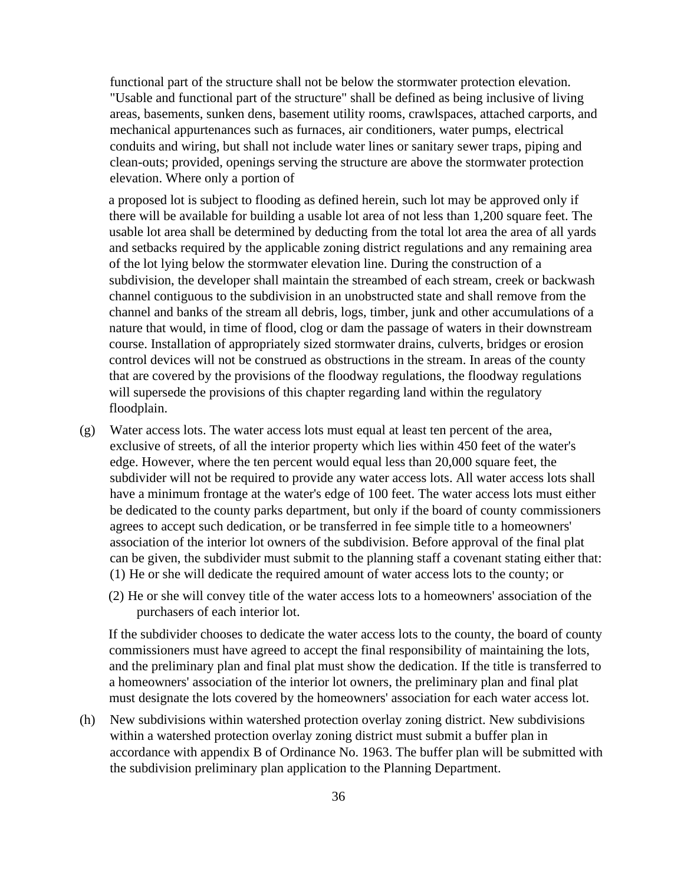functional part of the structure shall not be below the stormwater protection elevation. "Usable and functional part of the structure" shall be defined as being inclusive of living areas, basements, sunken dens, basement utility rooms, crawlspaces, attached carports, and mechanical appurtenances such as furnaces, air conditioners, water pumps, electrical conduits and wiring, but shall not include water lines or sanitary sewer traps, piping and clean-outs; provided, openings serving the structure are above the stormwater protection elevation. Where only a portion of

a proposed lot is subject to flooding as defined herein, such lot may be approved only if there will be available for building a usable lot area of not less than 1,200 square feet. The usable lot area shall be determined by deducting from the total lot area the area of all yards and setbacks required by the applicable zoning district regulations and any remaining area of the lot lying below the stormwater elevation line. During the construction of a subdivision, the developer shall maintain the streambed of each stream, creek or backwash channel contiguous to the subdivision in an unobstructed state and shall remove from the channel and banks of the stream all debris, logs, timber, junk and other accumulations of a nature that would, in time of flood, clog or dam the passage of waters in their downstream course. Installation of appropriately sized stormwater drains, culverts, bridges or erosion control devices will not be construed as obstructions in the stream. In areas of the county that are covered by the provisions of the floodway regulations, the floodway regulations will supersede the provisions of this chapter regarding land within the regulatory floodplain.

- (g) Water access lots. The water access lots must equal at least ten percent of the area, exclusive of streets, of all the interior property which lies within 450 feet of the water's edge. However, where the ten percent would equal less than 20,000 square feet, the subdivider will not be required to provide any water access lots. All water access lots shall have a minimum frontage at the water's edge of 100 feet. The water access lots must either be dedicated to the county parks department, but only if the board of county commissioners agrees to accept such dedication, or be transferred in fee simple title to a homeowners' association of the interior lot owners of the subdivision. Before approval of the final plat can be given, the subdivider must submit to the planning staff a covenant stating either that: (1) He or she will dedicate the required amount of water access lots to the county; or
	- (2) He or she will convey title of the water access lots to a homeowners' association of the purchasers of each interior lot.

If the subdivider chooses to dedicate the water access lots to the county, the board of county commissioners must have agreed to accept the final responsibility of maintaining the lots, and the preliminary plan and final plat must show the dedication. If the title is transferred to a homeowners' association of the interior lot owners, the preliminary plan and final plat must designate the lots covered by the homeowners' association for each water access lot.

(h) New subdivisions within watershed protection overlay zoning district. New subdivisions within a watershed protection overlay zoning district must submit a buffer plan in accordance with appendix B of Ordinance No. 1963. The buffer plan will be submitted with the subdivision preliminary plan application to the Planning Department.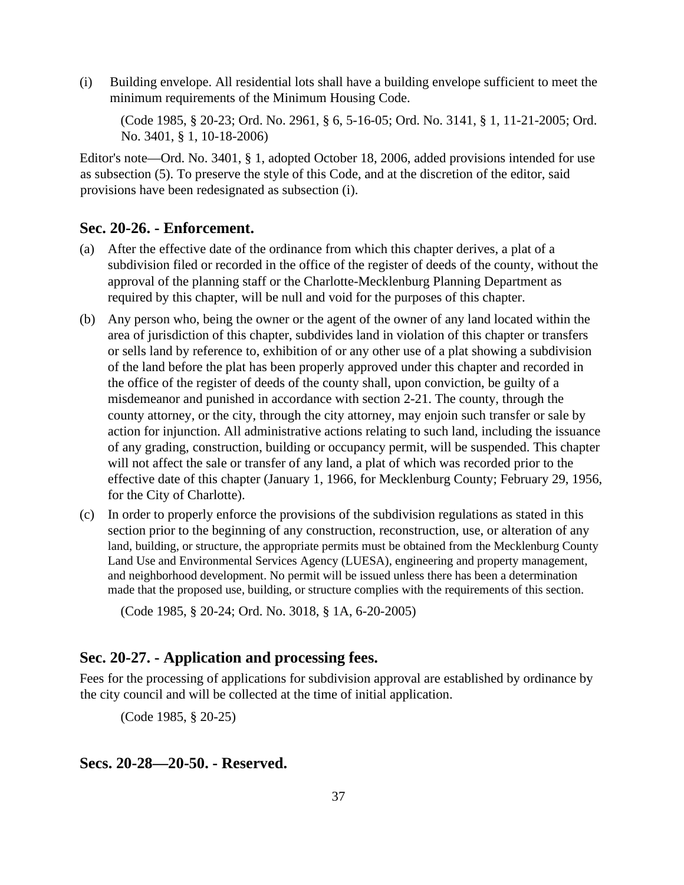(i) Building envelope. All residential lots shall have a building envelope sufficient to meet the minimum requirements of the Minimum Housing Code.

(Code 1985, § 20-23; Ord. No. 2961, § 6, 5-16-05; Ord. No. 3141, § 1, 11-21-2005; Ord. No. 3401, § 1, 10-18-2006)

Editor's note—Ord. No. 3401, § 1, adopted October 18, 2006, added provisions intended for use as subsection (5). To preserve the style of this Code, and at the discretion of the editor, said provisions have been redesignated as subsection (i).

## **Sec. 20-26. - Enforcement.**

- (a) After the effective date of the ordinance from which this chapter derives, a plat of a subdivision filed or recorded in the office of the register of deeds of the county, without the approval of the planning staff or the Charlotte-Mecklenburg Planning Department as required by this chapter, will be null and void for the purposes of this chapter.
- (b) Any person who, being the owner or the agent of the owner of any land located within the area of jurisdiction of this chapter, subdivides land in violation of this chapter or transfers or sells land by reference to, exhibition of or any other use of a plat showing a subdivision of the land before the plat has been properly approved under this chapter and recorded in the office of the register of deeds of the county shall, upon conviction, be guilty of a misdemeanor and punished in accordance with section 2-21. The county, through the county attorney, or the city, through the city attorney, may enjoin such transfer or sale by action for injunction. All administrative actions relating to such land, including the issuance of any grading, construction, building or occupancy permit, will be suspended. This chapter will not affect the sale or transfer of any land, a plat of which was recorded prior to the effective date of this chapter (January 1, 1966, for Mecklenburg County; February 29, 1956, for the City of Charlotte).
- (c) In order to properly enforce the provisions of the subdivision regulations as stated in this section prior to the beginning of any construction, reconstruction, use, or alteration of any land, building, or structure, the appropriate permits must be obtained from the Mecklenburg County Land Use and Environmental Services Agency (LUESA), engineering and property management, and neighborhood development. No permit will be issued unless there has been a determination made that the proposed use, building, or structure complies with the requirements of this section.

(Code 1985, § 20-24; Ord. No. 3018, § 1A, 6-20-2005)

## **Sec. 20-27. - Application and processing fees.**

Fees for the processing of applications for subdivision approval are established by ordinance by the city council and will be collected at the time of initial application.

(Code 1985, § 20-25)

## **Secs. 20-28—20-50. - Reserved.**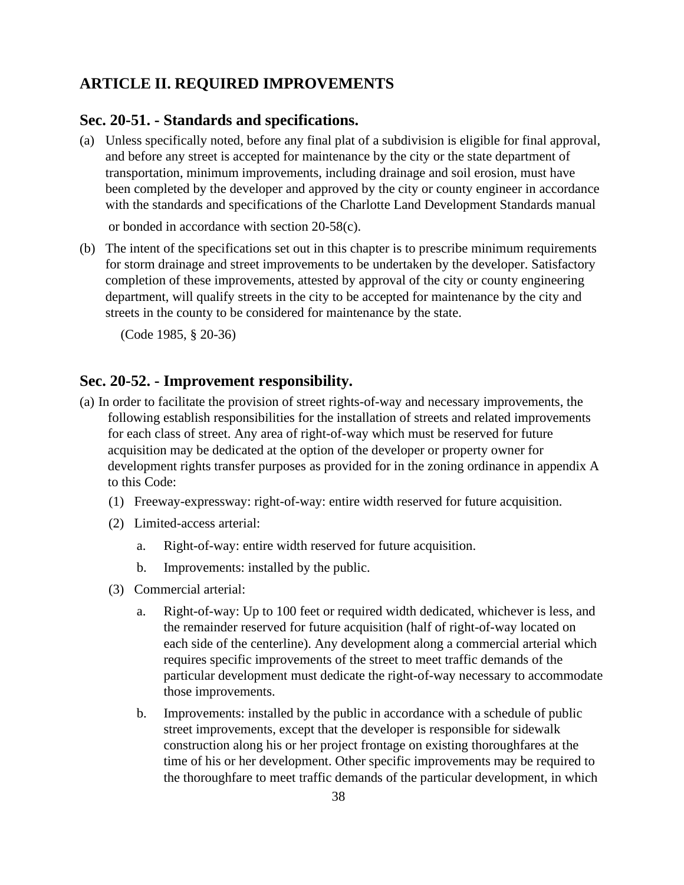## **ARTICLE II. REQUIRED IMPROVEMENTS**

## **Sec. 20-51. - Standards and specifications.**

(a) Unless specifically noted, before any final plat of a subdivision is eligible for final approval, and before any street is accepted for maintenance by the city or the state department of transportation, minimum improvements, including drainage and soil erosion, must have been completed by the developer and approved by the city or county engineer in accordance with the standards and specifications of the Charlotte Land Development Standards manual

or bonded in accordance with section 20-58(c).

(b) The intent of the specifications set out in this chapter is to prescribe minimum requirements for storm drainage and street improvements to be undertaken by the developer. Satisfactory completion of these improvements, attested by approval of the city or county engineering department, will qualify streets in the city to be accepted for maintenance by the city and streets in the county to be considered for maintenance by the state.

(Code 1985, § 20-36)

#### **Sec. 20-52. - Improvement responsibility.**

- (a) In order to facilitate the provision of street rights-of-way and necessary improvements, the following establish responsibilities for the installation of streets and related improvements for each class of street. Any area of right-of-way which must be reserved for future acquisition may be dedicated at the option of the developer or property owner for development rights transfer purposes as provided for in the zoning ordinance in appendix A to this Code:
	- (1) Freeway-expressway: right-of-way: entire width reserved for future acquisition.
	- (2) Limited-access arterial:
		- a. Right-of-way: entire width reserved for future acquisition.
		- b. Improvements: installed by the public.
	- (3) Commercial arterial:
		- a. Right-of-way: Up to 100 feet or required width dedicated, whichever is less, and the remainder reserved for future acquisition (half of right-of-way located on each side of the centerline). Any development along a commercial arterial which requires specific improvements of the street to meet traffic demands of the particular development must dedicate the right-of-way necessary to accommodate those improvements.
		- b. Improvements: installed by the public in accordance with a schedule of public street improvements, except that the developer is responsible for sidewalk construction along his or her project frontage on existing thoroughfares at the time of his or her development. Other specific improvements may be required to the thoroughfare to meet traffic demands of the particular development, in which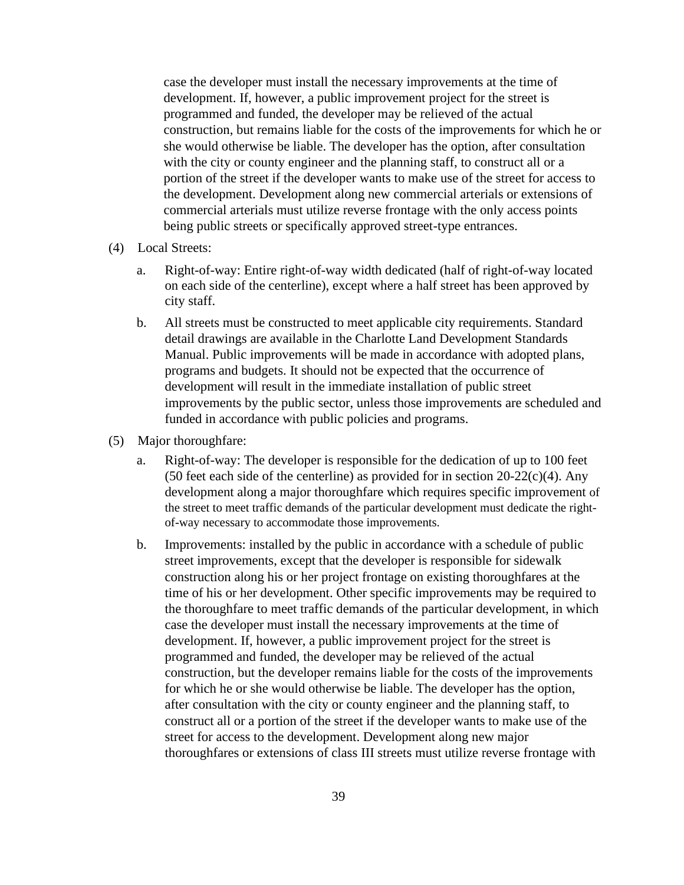case the developer must install the necessary improvements at the time of development. If, however, a public improvement project for the street is programmed and funded, the developer may be relieved of the actual construction, but remains liable for the costs of the improvements for which he or she would otherwise be liable. The developer has the option, after consultation with the city or county engineer and the planning staff, to construct all or a portion of the street if the developer wants to make use of the street for access to the development. Development along new commercial arterials or extensions of commercial arterials must utilize reverse frontage with the only access points being public streets or specifically approved street-type entrances.

- (4) Local Streets:
	- a. Right-of-way: Entire right-of-way width dedicated (half of right-of-way located on each side of the centerline), except where a half street has been approved by city staff.
	- b. All streets must be constructed to meet applicable city requirements. Standard detail drawings are available in the Charlotte Land Development Standards Manual. Public improvements will be made in accordance with adopted plans, programs and budgets. It should not be expected that the occurrence of development will result in the immediate installation of public street improvements by the public sector, unless those improvements are scheduled and funded in accordance with public policies and programs.
- (5) Major thoroughfare:
	- a. Right-of-way: The developer is responsible for the dedication of up to 100 feet (50 feet each side of the centerline) as provided for in section  $20-22(c)(4)$ . Any development along a major thoroughfare which requires specific improvement of the street to meet traffic demands of the particular development must dedicate the rightof-way necessary to accommodate those improvements.
	- b. Improvements: installed by the public in accordance with a schedule of public street improvements, except that the developer is responsible for sidewalk construction along his or her project frontage on existing thoroughfares at the time of his or her development. Other specific improvements may be required to the thoroughfare to meet traffic demands of the particular development, in which case the developer must install the necessary improvements at the time of development. If, however, a public improvement project for the street is programmed and funded, the developer may be relieved of the actual construction, but the developer remains liable for the costs of the improvements for which he or she would otherwise be liable. The developer has the option, after consultation with the city or county engineer and the planning staff, to construct all or a portion of the street if the developer wants to make use of the street for access to the development. Development along new major thoroughfares or extensions of class III streets must utilize reverse frontage with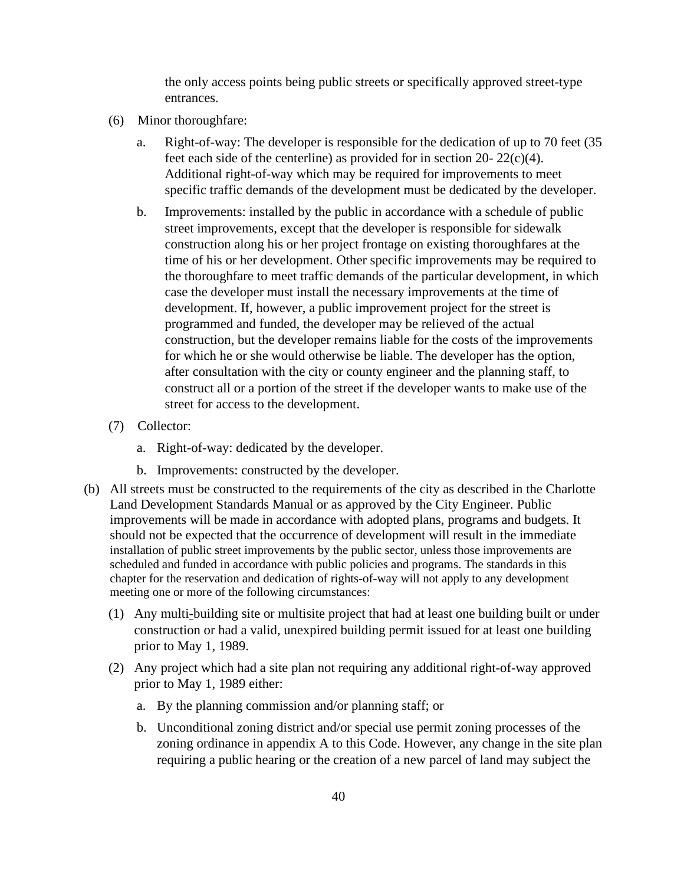the only access points being public streets or specifically approved street-type entrances.

- (6) Minor thoroughfare:
	- a. Right-of-way: The developer is responsible for the dedication of up to 70 feet (35 feet each side of the centerline) as provided for in section 20-  $22(c)(4)$ . Additional right-of-way which may be required for improvements to meet specific traffic demands of the development must be dedicated by the developer.
	- b. Improvements: installed by the public in accordance with a schedule of public street improvements, except that the developer is responsible for sidewalk construction along his or her project frontage on existing thoroughfares at the time of his or her development. Other specific improvements may be required to the thoroughfare to meet traffic demands of the particular development, in which case the developer must install the necessary improvements at the time of development. If, however, a public improvement project for the street is programmed and funded, the developer may be relieved of the actual construction, but the developer remains liable for the costs of the improvements for which he or she would otherwise be liable. The developer has the option, after consultation with the city or county engineer and the planning staff, to construct all or a portion of the street if the developer wants to make use of the street for access to the development.
- (7) Collector:
	- a. Right-of-way: dedicated by the developer.
	- b. Improvements: constructed by the developer.
- (b) All streets must be constructed to the requirements of the city as described in the Charlotte Land Development Standards Manual or as approved by the City Engineer. Public improvements will be made in accordance with adopted plans, programs and budgets. It should not be expected that the occurrence of development will result in the immediate installation of public street improvements by the public sector, unless those improvements are scheduled and funded in accordance with public policies and programs. The standards in this chapter for the reservation and dedication of rights-of-way will not apply to any development meeting one or more of the following circumstances:
	- (1) Any multi-building site or multisite project that had at least one building built or under construction or had a valid, unexpired building permit issued for at least one building prior to May 1, 1989.
	- (2) Any project which had a site plan not requiring any additional right-of-way approved prior to May 1, 1989 either:
		- a. By the planning commission and/or planning staff; or
		- b. Unconditional zoning district and/or special use permit zoning processes of the zoning ordinance in appendix A to this Code. However, any change in the site plan requiring a public hearing or the creation of a new parcel of land may subject the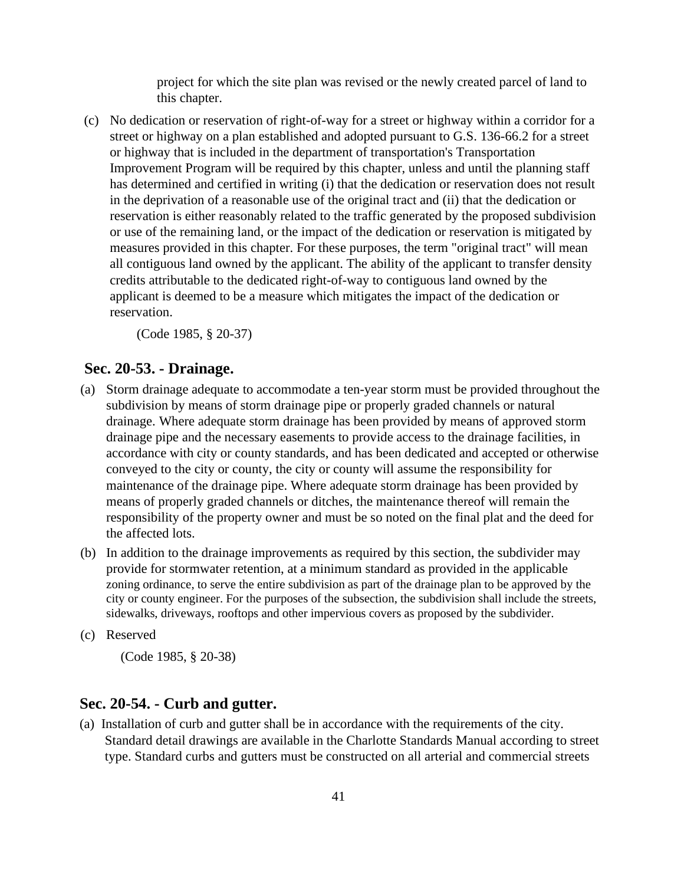project for which the site plan was revised or the newly created parcel of land to this chapter.

(c) No dedication or reservation of right-of-way for a street or highway within a corridor for a street or highway on a plan established and adopted pursuant to G.S. 136-66.2 for a street or highway that is included in the department of transportation's Transportation Improvement Program will be required by this chapter, unless and until the planning staff has determined and certified in writing (i) that the dedication or reservation does not result in the deprivation of a reasonable use of the original tract and (ii) that the dedication or reservation is either reasonably related to the traffic generated by the proposed subdivision or use of the remaining land, or the impact of the dedication or reservation is mitigated by measures provided in this chapter. For these purposes, the term "original tract" will mean all contiguous land owned by the applicant. The ability of the applicant to transfer density credits attributable to the dedicated right-of-way to contiguous land owned by the applicant is deemed to be a measure which mitigates the impact of the dedication or reservation.

(Code 1985, § 20-37)

## **Sec. 20-53. - Drainage.**

- (a) Storm drainage adequate to accommodate a ten-year storm must be provided throughout the subdivision by means of storm drainage pipe or properly graded channels or natural drainage. Where adequate storm drainage has been provided by means of approved storm drainage pipe and the necessary easements to provide access to the drainage facilities, in accordance with city or county standards, and has been dedicated and accepted or otherwise conveyed to the city or county, the city or county will assume the responsibility for maintenance of the drainage pipe. Where adequate storm drainage has been provided by means of properly graded channels or ditches, the maintenance thereof will remain the responsibility of the property owner and must be so noted on the final plat and the deed for the affected lots.
- (b) In addition to the drainage improvements as required by this section, the subdivider may provide for stormwater retention, at a minimum standard as provided in the applicable zoning ordinance, to serve the entire subdivision as part of the drainage plan to be approved by the city or county engineer. For the purposes of the subsection, the subdivision shall include the streets, sidewalks, driveways, rooftops and other impervious covers as proposed by the subdivider.
- (c) Reserved

(Code 1985, § 20-38)

#### **Sec. 20-54. - Curb and gutter.**

(a) Installation of curb and gutter shall be in accordance with the requirements of the city. Standard detail drawings are available in the Charlotte Standards Manual according to street type. Standard curbs and gutters must be constructed on all arterial and commercial streets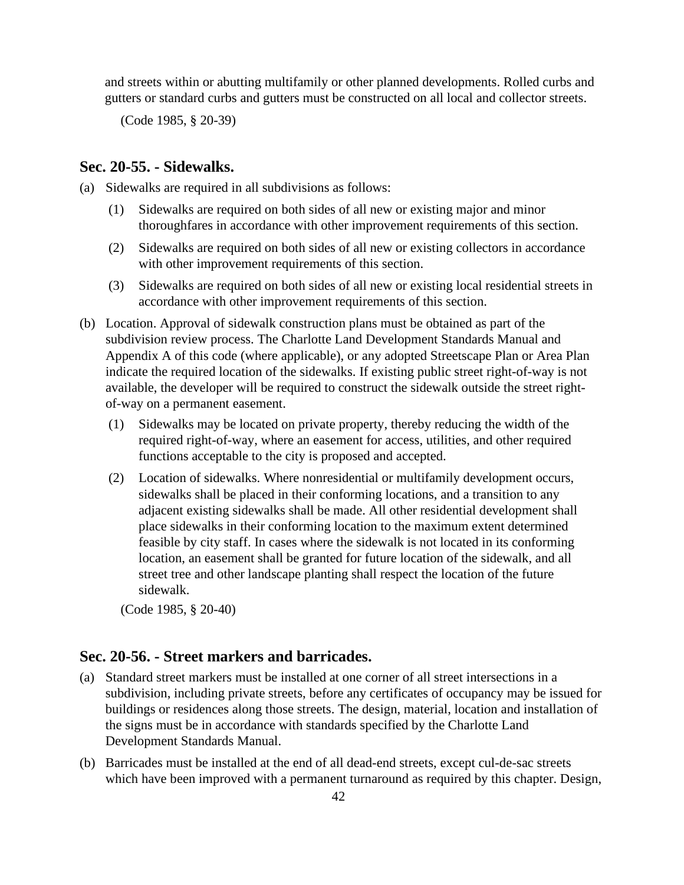and streets within or abutting multifamily or other planned developments. Rolled curbs and gutters or standard curbs and gutters must be constructed on all local and collector streets.

(Code 1985, § 20-39)

#### **Sec. 20-55. - Sidewalks.**

(a) Sidewalks are required in all subdivisions as follows:

- (1) Sidewalks are required on both sides of all new or existing major and minor thoroughfares in accordance with other improvement requirements of this section.
- (2) Sidewalks are required on both sides of all new or existing collectors in accordance with other improvement requirements of this section.
- (3) Sidewalks are required on both sides of all new or existing local residential streets in accordance with other improvement requirements of this section.
- (b) Location. Approval of sidewalk construction plans must be obtained as part of the subdivision review process. The Charlotte Land Development Standards Manual and Appendix A of this code (where applicable), or any adopted Streetscape Plan or Area Plan indicate the required location of the sidewalks. If existing public street right-of-way is not available, the developer will be required to construct the sidewalk outside the street rightof-way on a permanent easement.
	- (1) Sidewalks may be located on private property, thereby reducing the width of the required right-of-way, where an easement for access, utilities, and other required functions acceptable to the city is proposed and accepted.
	- (2) Location of sidewalks. Where nonresidential or multifamily development occurs, sidewalks shall be placed in their conforming locations, and a transition to any adjacent existing sidewalks shall be made. All other residential development shall place sidewalks in their conforming location to the maximum extent determined feasible by city staff. In cases where the sidewalk is not located in its conforming location, an easement shall be granted for future location of the sidewalk, and all street tree and other landscape planting shall respect the location of the future sidewalk.

(Code 1985, § 20-40)

## **Sec. 20-56. - Street markers and barricades.**

- (a) Standard street markers must be installed at one corner of all street intersections in a subdivision, including private streets, before any certificates of occupancy may be issued for buildings or residences along those streets. The design, material, location and installation of the signs must be in accordance with standards specified by the Charlotte Land Development Standards Manual.
- (b) Barricades must be installed at the end of all dead-end streets, except cul-de-sac streets which have been improved with a permanent turnaround as required by this chapter. Design,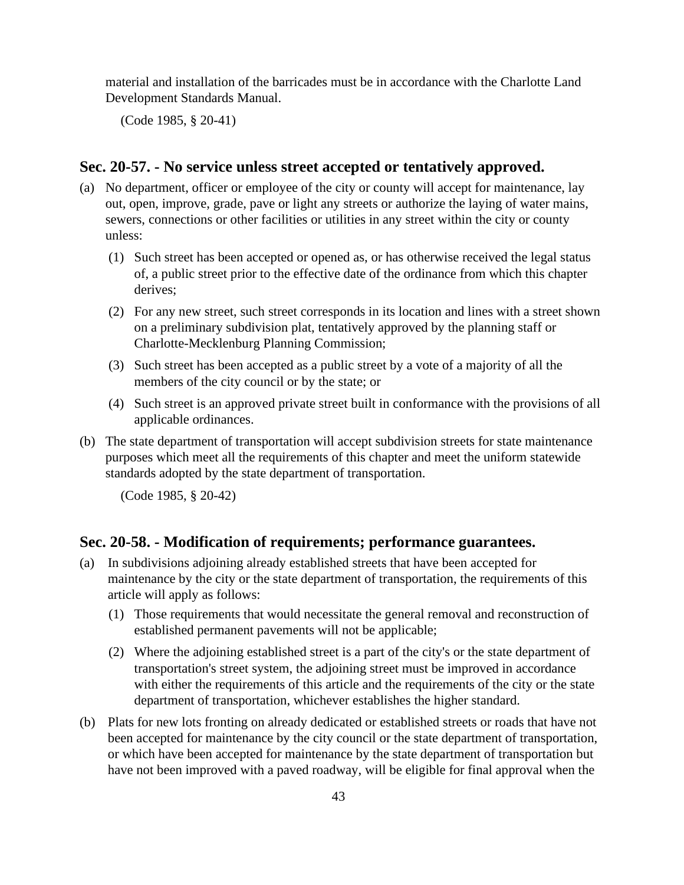material and installation of the barricades must be in accordance with the Charlotte Land Development Standards Manual.

(Code 1985, § 20-41)

## **Sec. 20-57. - No service unless street accepted or tentatively approved.**

- (a) No department, officer or employee of the city or county will accept for maintenance, lay out, open, improve, grade, pave or light any streets or authorize the laying of water mains, sewers, connections or other facilities or utilities in any street within the city or county unless:
	- (1) Such street has been accepted or opened as, or has otherwise received the legal status of, a public street prior to the effective date of the ordinance from which this chapter derives;
	- (2) For any new street, such street corresponds in its location and lines with a street shown on a preliminary subdivision plat, tentatively approved by the planning staff or Charlotte-Mecklenburg Planning Commission;
	- (3) Such street has been accepted as a public street by a vote of a majority of all the members of the city council or by the state; or
	- (4) Such street is an approved private street built in conformance with the provisions of all applicable ordinances.
- (b) The state department of transportation will accept subdivision streets for state maintenance purposes which meet all the requirements of this chapter and meet the uniform statewide standards adopted by the state department of transportation.

(Code 1985, § 20-42)

#### **Sec. 20-58. - Modification of requirements; performance guarantees.**

- (a) In subdivisions adjoining already established streets that have been accepted for maintenance by the city or the state department of transportation, the requirements of this article will apply as follows:
	- (1) Those requirements that would necessitate the general removal and reconstruction of established permanent pavements will not be applicable;
	- (2) Where the adjoining established street is a part of the city's or the state department of transportation's street system, the adjoining street must be improved in accordance with either the requirements of this article and the requirements of the city or the state department of transportation, whichever establishes the higher standard.
- (b) Plats for new lots fronting on already dedicated or established streets or roads that have not been accepted for maintenance by the city council or the state department of transportation, or which have been accepted for maintenance by the state department of transportation but have not been improved with a paved roadway, will be eligible for final approval when the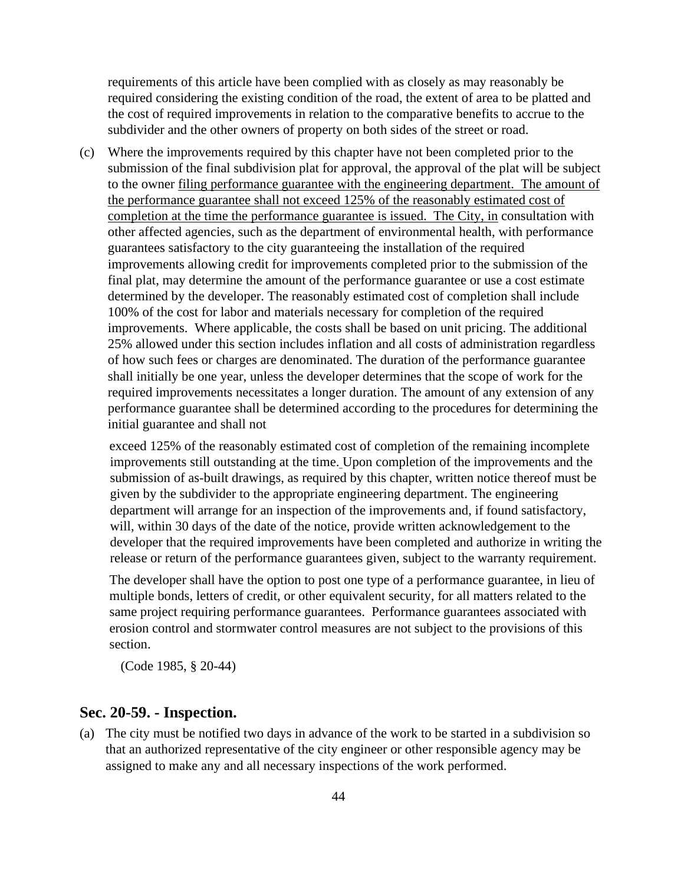requirements of this article have been complied with as closely as may reasonably be required considering the existing condition of the road, the extent of area to be platted and the cost of required improvements in relation to the comparative benefits to accrue to the subdivider and the other owners of property on both sides of the street or road.

(c) Where the improvements required by this chapter have not been completed prior to the submission of the final subdivision plat for approval, the approval of the plat will be subject to the owner filing performance guarantee with the engineering department. The amount of the performance guarantee shall not exceed 125% of the reasonably estimated cost of completion at the time the performance guarantee is issued. The City, in consultation with other affected agencies, such as the department of environmental health, with performance guarantees satisfactory to the city guaranteeing the installation of the required improvements allowing credit for improvements completed prior to the submission of the final plat, may determine the amount of the performance guarantee or use a cost estimate determined by the developer. The reasonably estimated cost of completion shall include 100% of the cost for labor and materials necessary for completion of the required improvements. Where applicable, the costs shall be based on unit pricing. The additional 25% allowed under this section includes inflation and all costs of administration regardless of how such fees or charges are denominated. The duration of the performance guarantee shall initially be one year, unless the developer determines that the scope of work for the required improvements necessitates a longer duration. The amount of any extension of any performance guarantee shall be determined according to the procedures for determining the initial guarantee and shall not

exceed 125% of the reasonably estimated cost of completion of the remaining incomplete improvements still outstanding at the time. Upon completion of the improvements and the submission of as-built drawings, as required by this chapter, written notice thereof must be given by the subdivider to the appropriate engineering department. The engineering department will arrange for an inspection of the improvements and, if found satisfactory, will, within 30 days of the date of the notice, provide written acknowledgement to the developer that the required improvements have been completed and authorize in writing the release or return of the performance guarantees given, subject to the warranty requirement.

The developer shall have the option to post one type of a performance guarantee, in lieu of multiple bonds, letters of credit, or other equivalent security, for all matters related to the same project requiring performance guarantees. Performance guarantees associated with erosion control and stormwater control measures are not subject to the provisions of this section.

(Code 1985, § 20-44)

## **Sec. 20-59. - Inspection.**

(a) The city must be notified two days in advance of the work to be started in a subdivision so that an authorized representative of the city engineer or other responsible agency may be assigned to make any and all necessary inspections of the work performed.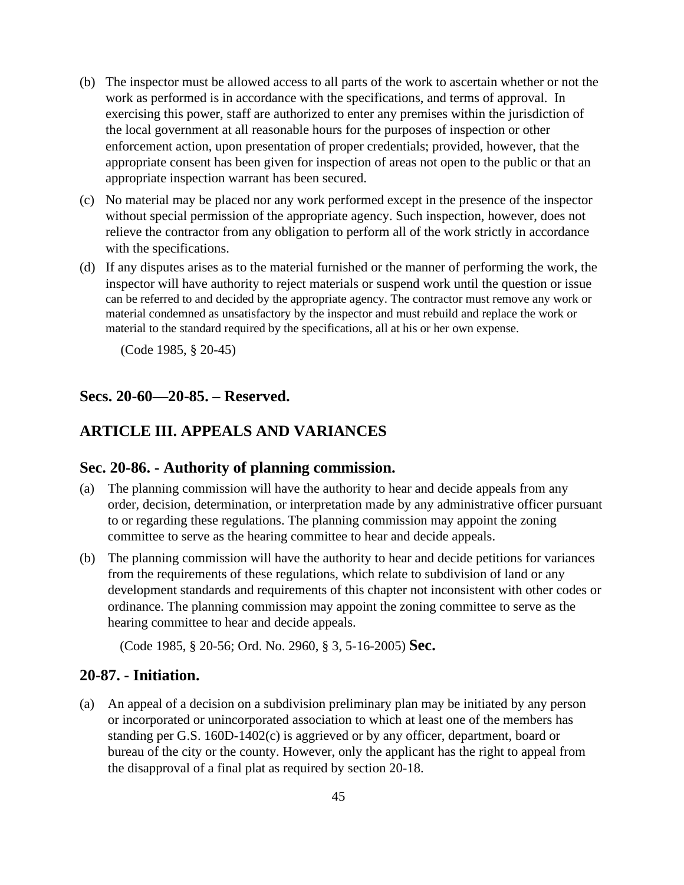- (b) The inspector must be allowed access to all parts of the work to ascertain whether or not the work as performed is in accordance with the specifications, and terms of approval. In exercising this power, staff are authorized to enter any premises within the jurisdiction of the local government at all reasonable hours for the purposes of inspection or other enforcement action, upon presentation of proper credentials; provided, however, that the appropriate consent has been given for inspection of areas not open to the public or that an appropriate inspection warrant has been secured.
- (c) No material may be placed nor any work performed except in the presence of the inspector without special permission of the appropriate agency. Such inspection, however, does not relieve the contractor from any obligation to perform all of the work strictly in accordance with the specifications.
- (d) If any disputes arises as to the material furnished or the manner of performing the work, the inspector will have authority to reject materials or suspend work until the question or issue can be referred to and decided by the appropriate agency. The contractor must remove any work or material condemned as unsatisfactory by the inspector and must rebuild and replace the work or material to the standard required by the specifications, all at his or her own expense.

(Code 1985, § 20-45)

#### **Secs. 20-60—20-85. – Reserved.**

## **ARTICLE III. APPEALS AND VARIANCES**

## **Sec. 20-86. - Authority of planning commission.**

- (a) The planning commission will have the authority to hear and decide appeals from any order, decision, determination, or interpretation made by any administrative officer pursuant to or regarding these regulations. The planning commission may appoint the zoning committee to serve as the hearing committee to hear and decide appeals.
- (b) The planning commission will have the authority to hear and decide petitions for variances from the requirements of these regulations, which relate to subdivision of land or any development standards and requirements of this chapter not inconsistent with other codes or ordinance. The planning commission may appoint the zoning committee to serve as the hearing committee to hear and decide appeals.

(Code 1985, § 20-56; Ord. No. 2960, § 3, 5-16-2005) **Sec.** 

#### **20-87. - Initiation.**

(a) An appeal of a decision on a subdivision preliminary plan may be initiated by any person or incorporated or unincorporated association to which at least one of the members has standing per G.S. 160D-1402(c) is aggrieved or by any officer, department, board or bureau of the city or the county. However, only the applicant has the right to appeal from the disapproval of a final plat as required by section 20-18.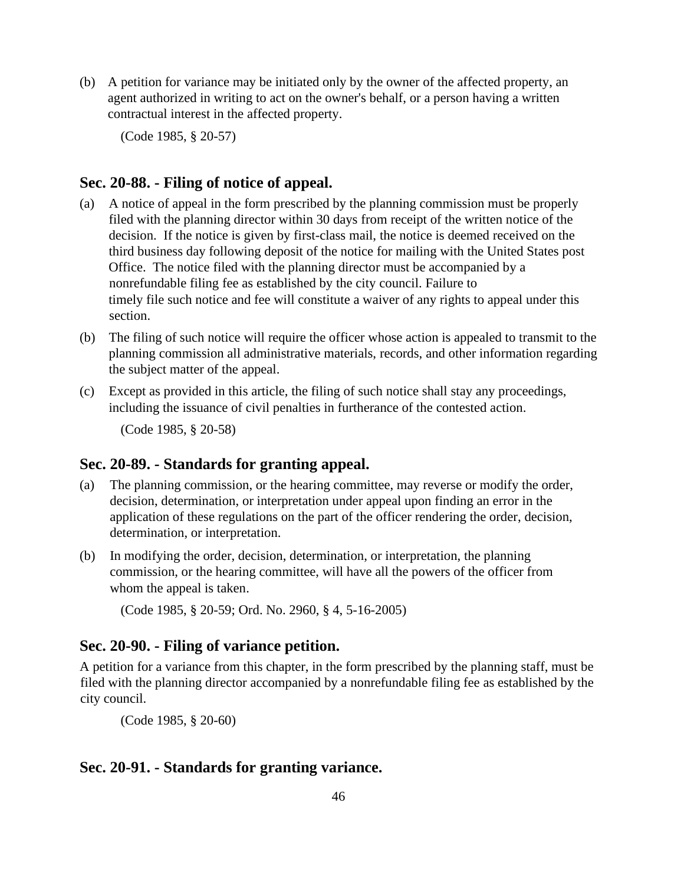(b) A petition for variance may be initiated only by the owner of the affected property, an agent authorized in writing to act on the owner's behalf, or a person having a written contractual interest in the affected property.

(Code 1985, § 20-57)

## **Sec. 20-88. - Filing of notice of appeal.**

- (a) A notice of appeal in the form prescribed by the planning commission must be properly filed with the planning director within 30 days from receipt of the written notice of the decision. If the notice is given by first-class mail, the notice is deemed received on the third business day following deposit of the notice for mailing with the United States post Office. The notice filed with the planning director must be accompanied by a nonrefundable filing fee as established by the city council. Failure to timely file such notice and fee will constitute a waiver of any rights to appeal under this section.
- (b) The filing of such notice will require the officer whose action is appealed to transmit to the planning commission all administrative materials, records, and other information regarding the subject matter of the appeal.
- (c) Except as provided in this article, the filing of such notice shall stay any proceedings, including the issuance of civil penalties in furtherance of the contested action.

(Code 1985, § 20-58)

#### **Sec. 20-89. - Standards for granting appeal.**

- (a) The planning commission, or the hearing committee, may reverse or modify the order, decision, determination, or interpretation under appeal upon finding an error in the application of these regulations on the part of the officer rendering the order, decision, determination, or interpretation.
- (b) In modifying the order, decision, determination, or interpretation, the planning commission, or the hearing committee, will have all the powers of the officer from whom the appeal is taken.

(Code 1985, § 20-59; Ord. No. 2960, § 4, 5-16-2005)

## **Sec. 20-90. - Filing of variance petition.**

A petition for a variance from this chapter, in the form prescribed by the planning staff, must be filed with the planning director accompanied by a nonrefundable filing fee as established by the city council.

(Code 1985, § 20-60)

## **Sec. 20-91. - Standards for granting variance.**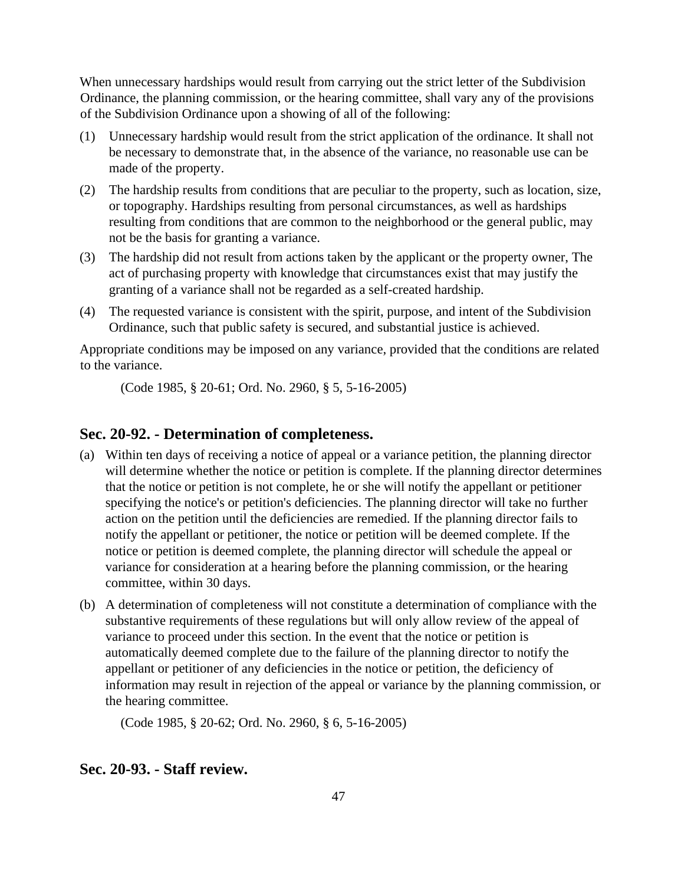When unnecessary hardships would result from carrying out the strict letter of the Subdivision Ordinance, the planning commission, or the hearing committee, shall vary any of the provisions of the Subdivision Ordinance upon a showing of all of the following:

- (1) Unnecessary hardship would result from the strict application of the ordinance. It shall not be necessary to demonstrate that, in the absence of the variance, no reasonable use can be made of the property.
- (2) The hardship results from conditions that are peculiar to the property, such as location, size, or topography. Hardships resulting from personal circumstances, as well as hardships resulting from conditions that are common to the neighborhood or the general public, may not be the basis for granting a variance.
- (3) The hardship did not result from actions taken by the applicant or the property owner, The act of purchasing property with knowledge that circumstances exist that may justify the granting of a variance shall not be regarded as a self-created hardship.
- (4) The requested variance is consistent with the spirit, purpose, and intent of the Subdivision Ordinance, such that public safety is secured, and substantial justice is achieved.

Appropriate conditions may be imposed on any variance, provided that the conditions are related to the variance.

(Code 1985, § 20-61; Ord. No. 2960, § 5, 5-16-2005)

#### **Sec. 20-92. - Determination of completeness.**

- (a) Within ten days of receiving a notice of appeal or a variance petition, the planning director will determine whether the notice or petition is complete. If the planning director determines that the notice or petition is not complete, he or she will notify the appellant or petitioner specifying the notice's or petition's deficiencies. The planning director will take no further action on the petition until the deficiencies are remedied. If the planning director fails to notify the appellant or petitioner, the notice or petition will be deemed complete. If the notice or petition is deemed complete, the planning director will schedule the appeal or variance for consideration at a hearing before the planning commission, or the hearing committee, within 30 days.
- (b) A determination of completeness will not constitute a determination of compliance with the substantive requirements of these regulations but will only allow review of the appeal of variance to proceed under this section. In the event that the notice or petition is automatically deemed complete due to the failure of the planning director to notify the appellant or petitioner of any deficiencies in the notice or petition, the deficiency of information may result in rejection of the appeal or variance by the planning commission, or the hearing committee.

(Code 1985, § 20-62; Ord. No. 2960, § 6, 5-16-2005)

## **Sec. 20-93. - Staff review.**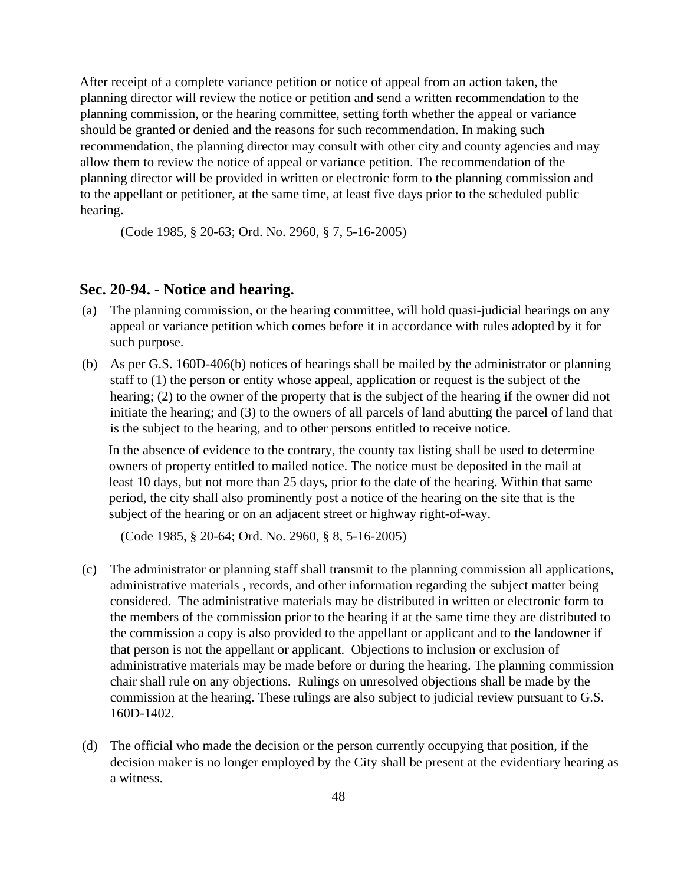After receipt of a complete variance petition or notice of appeal from an action taken, the planning director will review the notice or petition and send a written recommendation to the planning commission, or the hearing committee, setting forth whether the appeal or variance should be granted or denied and the reasons for such recommendation. In making such recommendation, the planning director may consult with other city and county agencies and may allow them to review the notice of appeal or variance petition. The recommendation of the planning director will be provided in written or electronic form to the planning commission and to the appellant or petitioner, at the same time, at least five days prior to the scheduled public hearing.

(Code 1985, § 20-63; Ord. No. 2960, § 7, 5-16-2005)

## **Sec. 20-94. - Notice and hearing.**

- (a) The planning commission, or the hearing committee, will hold quasi-judicial hearings on any appeal or variance petition which comes before it in accordance with rules adopted by it for such purpose.
- (b) As per G.S. 160D-406(b) notices of hearings shall be mailed by the administrator or planning staff to (1) the person or entity whose appeal, application or request is the subject of the hearing; (2) to the owner of the property that is the subject of the hearing if the owner did not initiate the hearing; and (3) to the owners of all parcels of land abutting the parcel of land that is the subject to the hearing, and to other persons entitled to receive notice.

In the absence of evidence to the contrary, the county tax listing shall be used to determine owners of property entitled to mailed notice. The notice must be deposited in the mail at least 10 days, but not more than 25 days, prior to the date of the hearing. Within that same period, the city shall also prominently post a notice of the hearing on the site that is the subject of the hearing or on an adjacent street or highway right-of-way.

(Code 1985, § 20-64; Ord. No. 2960, § 8, 5-16-2005)

- (c) The administrator or planning staff shall transmit to the planning commission all applications, administrative materials , records, and other information regarding the subject matter being considered. The administrative materials may be distributed in written or electronic form to the members of the commission prior to the hearing if at the same time they are distributed to the commission a copy is also provided to the appellant or applicant and to the landowner if that person is not the appellant or applicant. Objections to inclusion or exclusion of administrative materials may be made before or during the hearing. The planning commission chair shall rule on any objections. Rulings on unresolved objections shall be made by the commission at the hearing. These rulings are also subject to judicial review pursuant to G.S. 160D-1402.
- (d) The official who made the decision or the person currently occupying that position, if the decision maker is no longer employed by the City shall be present at the evidentiary hearing as a witness.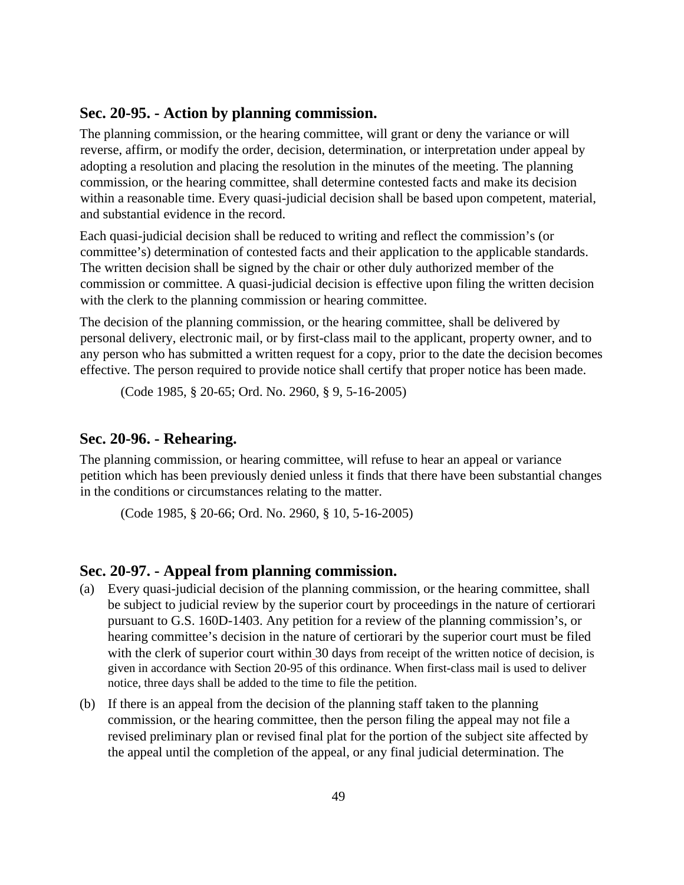#### **Sec. 20-95. - Action by planning commission.**

The planning commission, or the hearing committee, will grant or deny the variance or will reverse, affirm, or modify the order, decision, determination, or interpretation under appeal by adopting a resolution and placing the resolution in the minutes of the meeting. The planning commission, or the hearing committee, shall determine contested facts and make its decision within a reasonable time. Every quasi-judicial decision shall be based upon competent, material, and substantial evidence in the record.

Each quasi-judicial decision shall be reduced to writing and reflect the commission's (or committee's) determination of contested facts and their application to the applicable standards. The written decision shall be signed by the chair or other duly authorized member of the commission or committee. A quasi-judicial decision is effective upon filing the written decision with the clerk to the planning commission or hearing committee.

The decision of the planning commission, or the hearing committee, shall be delivered by personal delivery, electronic mail, or by first-class mail to the applicant, property owner, and to any person who has submitted a written request for a copy, prior to the date the decision becomes effective. The person required to provide notice shall certify that proper notice has been made.

(Code 1985, § 20-65; Ord. No. 2960, § 9, 5-16-2005)

## **Sec. 20-96. - Rehearing.**

The planning commission, or hearing committee, will refuse to hear an appeal or variance petition which has been previously denied unless it finds that there have been substantial changes in the conditions or circumstances relating to the matter.

(Code 1985, § 20-66; Ord. No. 2960, § 10, 5-16-2005)

#### **Sec. 20-97. - Appeal from planning commission.**

- (a) Every quasi-judicial decision of the planning commission, or the hearing committee, shall be subject to judicial review by the superior court by proceedings in the nature of certiorari pursuant to G.S. 160D-1403. Any petition for a review of the planning commission's, or hearing committee's decision in the nature of certiorari by the superior court must be filed with the clerk of superior court within 30 days from receipt of the written notice of decision, is given in accordance with Section 20-95 of this ordinance. When first-class mail is used to deliver notice, three days shall be added to the time to file the petition.
- (b) If there is an appeal from the decision of the planning staff taken to the planning commission, or the hearing committee, then the person filing the appeal may not file a revised preliminary plan or revised final plat for the portion of the subject site affected by the appeal until the completion of the appeal, or any final judicial determination. The